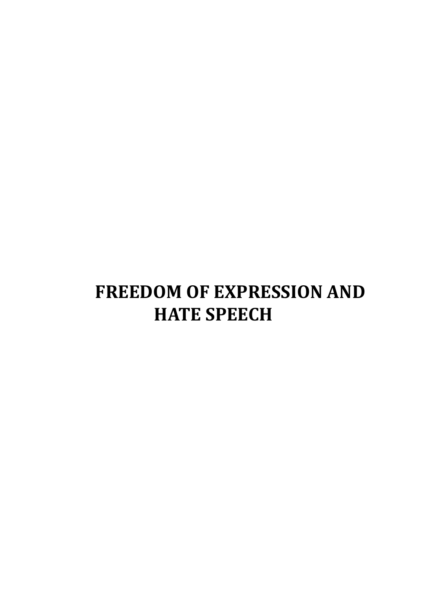# **FREEDOM OF EXPRESSION AND HATE SPEECH**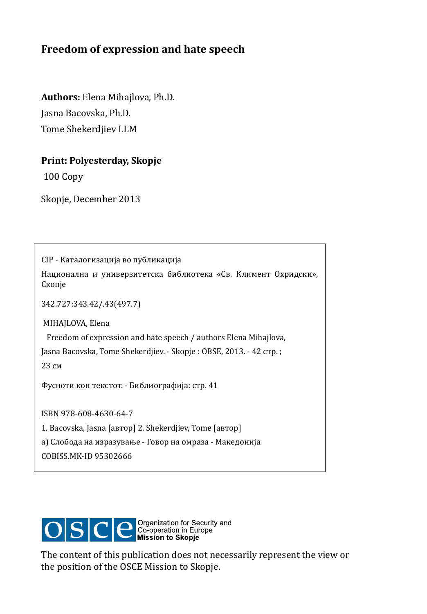### **freedom of expression and hate speech**

**Authors:** Elena Mihajlova, Ph.D. Jasna Bacovska, Ph.D. Tome Shekerdjiev LLM

#### **Print: Polyesterday, Skopje**

100 Copy

Skopje, December 2013

CIP - Каталогизација во публикација Национална и универзитетска библиотека «Св. Климент Охридски», Скопје 342.727:343.42/.43(497.7) MIHAJLOVA, Elena Freedom of expression and hate speech / authors Elena Mihajlova, Jasna Bacovska, Tome Shekerdjiev. - Skopje : OBSE, 2013. - 42 стр. ; 23 см Фусноти кон текстот. - Библиографија: стр. 41 ISBN 978-608-4630-64-7 1. Bacovska, Jasna [автор] 2. Shekerdjiev, Tome [автор] а) Слобода на изразување - Говор на омраза - Македонија COBISS.MK-ID 95302666



The content of this publication does not necessarily represent the view or the position of the OSCE Mission to Skopje.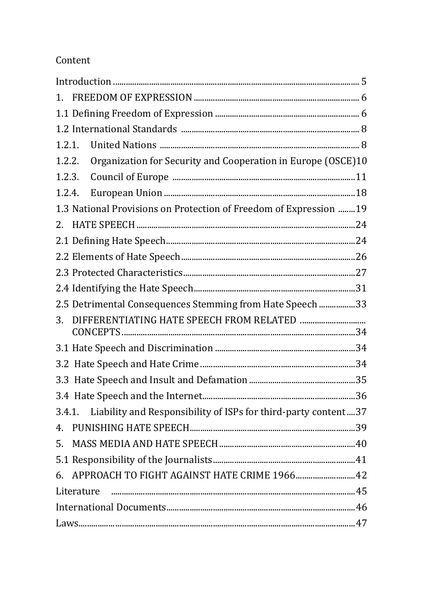### Content

| $1_{-}$                                                                  |  |
|--------------------------------------------------------------------------|--|
|                                                                          |  |
|                                                                          |  |
| 1.2.1.                                                                   |  |
| Organization for Security and Cooperation in Europe (OSCE)10<br>1.2.2.   |  |
| 1.2.3.                                                                   |  |
| 1.2.4.                                                                   |  |
| 1.3 National Provisions on Protection of Freedom of Expression  19       |  |
| 2.                                                                       |  |
|                                                                          |  |
|                                                                          |  |
|                                                                          |  |
|                                                                          |  |
| 2.5 Detrimental Consequences Stemming from Hate Speech 33                |  |
| 3.                                                                       |  |
|                                                                          |  |
|                                                                          |  |
|                                                                          |  |
|                                                                          |  |
| Liability and Responsibility of ISPs for third-party content37<br>3.4.1. |  |
| 4.                                                                       |  |
| 5.                                                                       |  |
|                                                                          |  |
| APPROACH TO FIGHT AGAINST HATE CRIME 1966 42<br>6.                       |  |
| Literature                                                               |  |
|                                                                          |  |
|                                                                          |  |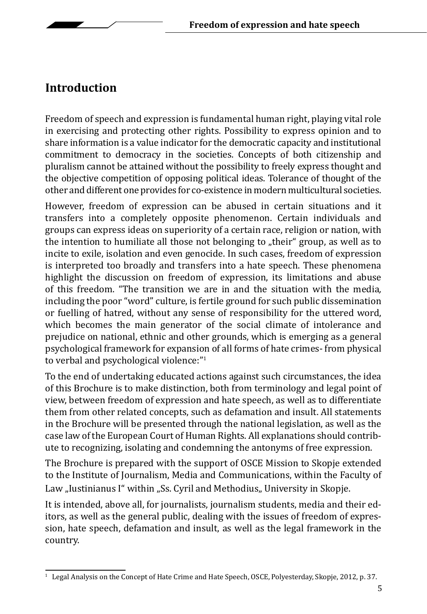# **Introduction**

Freedom of speech and expression is fundamental human right, playing vital role in exercising and protecting other rights. Possibility to express opinion and to share information is a value indicator for the democratic capacity and institutional commitment to democracy in the societies. Concepts of both citizenship and pluralism cannot be attained without the possibility to freely express thought and the objective competition of opposing political ideas. Tolerance of thought of the other and different one provides for co-existence in modern multicultural societies.

However, freedom of expression can be abused in certain situations and it transfers into a completely opposite phenomenon. Certain individuals and groups can express ideas on superiority of a certain race, religion or nation, with the intention to humiliate all those not belonging to "their" group, as well as to incite to exile, isolation and even genocide. In such cases, freedom of expression is interpreted too broadly and transfers into a hate speech. These phenomena highlight the discussion on freedom of expression, its limitations and abuse of this freedom. "The transition we are in and the situation with the media*,*  including the poor "word" culture, is fertile ground for such public dissemination or fuelling of hatred, without any sense of responsibility for the uttered word, which becomes the main generator of the social climate of intolerance and prejudice on national, ethnic and other grounds, which is emerging as a general psychological framework for expansion of all forms of hate crimes- from physical to verbal and psychological violence:"<sup>1</sup>

To the end of undertaking educated actions against such circumstances, the idea of this Brochure is to make distinction, both from terminology and legal point of view, between freedom of expression and hate speech, as well as to differentiate them from other related concepts, such as defamation and insult. All statements in the Brochure will be presented through the national legislation, as well as the case law of the European Court of Human Rights. All explanations should contribute to recognizing, isolating and condemning the antonyms of free expression.

The Brochure is prepared with the support of OSCE Mission to Skopje extended to the Institute of Journalism, Media and Communications, within the Faculty of Law "Iustinianus I" within "Ss. Cyril and Methodius" University in Skopje.

It is intended, above all, for journalists, journalism students, media and their editors, as well as the general public, dealing with the issues of freedom of expression, hate speech, defamation and insult, as well as the legal framework in the country.

 $1$  Legal Analysis on the Concept of Hate Crime and Hate Speech, OSCE, Polyesterday, Skopje, 2012, p. 37.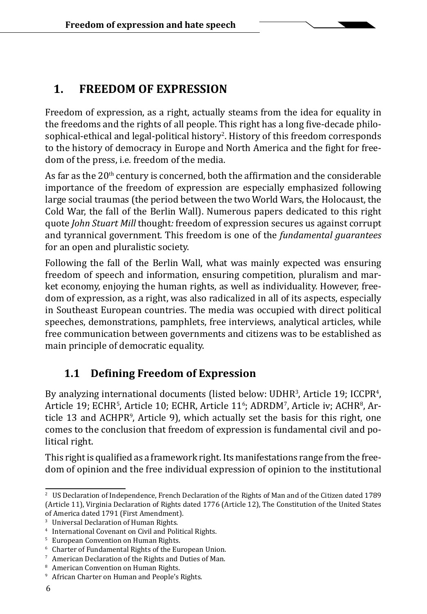## **1. FREEDOM OF EXPRESSION**

Freedom of expression, as a right, actually steams from the idea for equality in the freedoms and the rights of all people. This right has a long five-decade philo- $\operatorname{sophical}\nolimits$ ethical and legal-political history $^2$ . History of this freedom corresponds to the history of democracy in Europe and North America and the fight for freedom of the press, i.e. freedom of the media.

As far as the  $20<sup>th</sup>$  century is concerned, both the affirmation and the considerable importance of the freedom of expression are especially emphasized following large social traumas (the period between the two World Wars, the Holocaust, the Cold War, the fall of the Berlin Wall). Numerous papers dedicated to this right quote *John Stuart Mill* thought*:* freedom of expression secures us against corrupt and tyrannical government*.* This freedom is one of the *fundamental guarantees* for an open and pluralistic society.

Following the fall of the Berlin Wall, what was mainly expected was ensuring freedom of speech and information, ensuring competition, pluralism and market economy, enjoying the human rights, as well as individuality. However, freedom of expression, as a right, was also radicalized in all of its aspects, especially in Southeast European countries. The media was occupied with direct political speeches, demonstrations, pamphlets, free interviews, analytical articles, while free communication between governments and citizens was to be established as main principle of democratic equality.

### **1.1 Defining Freedom of Expression**

By analyzing international documents (listed below: UDHR<sup>3</sup>, Article 19; ICCPR<sup>4</sup>, Article 19; ECHR<sup>s</sup>, Article 10; ECHR, Article 11°; ADRDM', Article iv; ACHR<sup>s</sup>, Article 13 and ACHPR9 , Article 9), which actually set the basis for this right, one comes to the conclusion that freedom of expression is fundamental civil and political right.

This right is qualified as a framework right. Its manifestations range from the freedom of opinion and the free individual expression of opinion to the institutional

<sup>&</sup>lt;sup>2</sup> US Declaration of Independence, French Declaration of the Rights of Man and of the Citizen dated 1789 (Article 11), Virginia Declaration of Rights dated 1776 (Article 12), The Constitution of the United States of America dated 1791 (First Amendment).

<sup>3</sup> Universal Declaration of Human Rights.

<sup>4</sup> International Covenant on Civil and Political Rights.

<sup>5</sup> European Convention on Human Rights.

<sup>6</sup> Charter of Fundamental Rights of the European Union.

<sup>7</sup> American Declaration of the Rights and Duties of Man.

<sup>8</sup> American Convention on Human Rights.

<sup>&</sup>lt;sup>9</sup> African Charter on Human and People's Rights.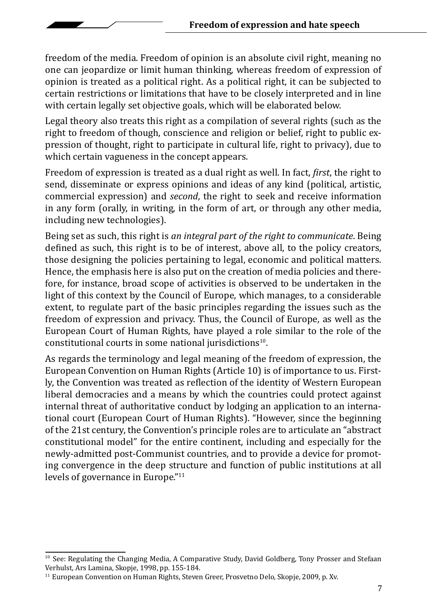freedom of the media. Freedom of opinion is an absolute civil right, meaning no one can jeopardize or limit human thinking, whereas freedom of expression of opinion is treated as a political right. As a political right, it can be subjected to certain restrictions or limitations that have to be closely interpreted and in line with certain legally set objective goals, which will be elaborated below.

Legal theory also treats this right as a compilation of several rights (such as the right to freedom of though, conscience and religion or belief, right to public expression of thought, right to participate in cultural life, right to privacy), due to which certain vagueness in the concept appears.

Freedom of expression is treated as a dual right as well. In fact, *first*, the right to send, disseminate or express opinions and ideas of any kind (political, artistic, commercial expression) and *second*, the right to seek and receive information in any form (orally, in writing, in the form of art, or through any other media, including new technologies).

Being set as such, this right is *an integral part of the right to communicate*. Being defined as such, this right is to be of interest, above all, to the policy creators, those designing the policies pertaining to legal, economic and political matters. Hence, the emphasis here is also put on the creation of media policies and therefore, for instance, broad scope of activities is observed to be undertaken in the light of this context by the Council of Europe, which manages, to a considerable extent, to regulate part of the basic principles regarding the issues such as the freedom of expression and privacy. Thus, the Council of Europe, as well as the European Court of Human Rights, have played a role similar to the role of the constitutional courts in some national jurisdictions<sup>10</sup>.

As regards the terminology and legal meaning of the freedom of expression, the European Convention on Human Rights (Article 10) is of importance to us. Firstly, the Convention was treated as reflection of the identity of Western European liberal democracies and a means by which the countries could protect against internal threat of authoritative conduct by lodging an application to an international court (European Court of Human Rights). "However, since the beginning of the 21st century, the Convention's principle roles are to articulate an "abstract constitutional model" for the entire continent, including and especially for the newly-admitted post-Communist countries, and to provide a device for promoting convergence in the deep structure and function of public institutions at all levels of governance in Europe."<sup>11</sup>

<sup>&</sup>lt;sup>10</sup> See: Regulating the Changing Media, A Comparative Study, David Goldberg, Tony Prosser and Stefaan Verhulst, Ars Lamina, Skopje, 1998, pp. 155-184.

<sup>&</sup>lt;sup>11</sup> European Convention on Human Rights, Steven Greer, Prosvetno Delo, Skopje, 2009, p. Xv.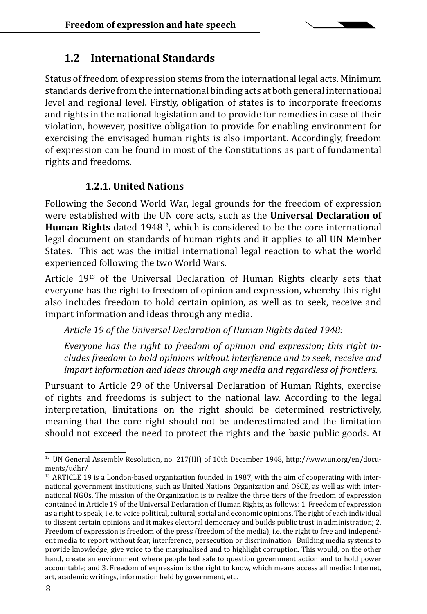#### **1.2 International Standards**

Status of freedom of expression stems from the international legal acts. Minimum standards derive from the international binding acts at both general international level and regional level. Firstly, obligation of states is to incorporate freedoms and rights in the national legislation and to provide for remedies in case of their violation, however, positive obligation to provide for enabling environment for exercising the envisaged human rights is also important. Accordingly, freedom of expression can be found in most of the Constitutions as part of fundamental rights and freedoms.

#### **1.2.1. United Nations**

Following the Second World War, legal grounds for the freedom of expression were established with the UN core acts, such as the **Universal Declaration of Human Rights** dated 194812, which is considered to be the core international legal document on standards of human rights and it applies to all UN Member States. This act was the initial international legal reaction to what the world experienced following the two World Wars.

Article 1913 of the Universal Declaration of Human Rights clearly sets that everyone has the right to freedom of opinion and expression, whereby this right also includes freedom to hold certain opinion, as well as to seek, receive and impart information and ideas through any media.

*Article 19 of the Universal Declaration of Human Rights dated 1948:*

*Everyone has the right to freedom of opinion and expression; this right includes freedom to hold opinions without interference and to seek, receive and impart information and ideas through any media and regardless of frontiers.* 

Pursuant to Article 29 of the Universal Declaration of Human Rights, exercise of rights and freedoms is subject to the national law. According to the legal interpretation, limitations on the right should be determined restrictively, meaning that the core right should not be underestimated and the limitation should not exceed the need to protect the rights and the basic public goods. At

<sup>12</sup> UN General Assembly Resolution, no. 217(III) of 10th December 1948, http://www.un.org/en/documents/udhr/

<sup>&</sup>lt;sup>13</sup> ARTICLE 19 is a London-based organization founded in 1987, with the aim of cooperating with international government institutions, such as United Nations Organization and OSCE, as well as with international NGOs. The mission of the Organization is to realize the three tiers of the freedom of expression contained in Article 19 of the Universal Declaration of Human Rights, as follows: 1. Freedom of expression as a right to speak, i.e. to voice political, cultural, social and economic opinions. The right of each individual to dissent certain opinions and it makes electoral democracy and builds public trust in administration; 2. Freedom of expression is freedom of the press (freedom of the media), i.e. the right to free and independent media to report without fear, interference, persecution or discrimination. Building media systems to provide knowledge, give voice to the marginalised and to highlight corruption. This would, on the other hand, create an environment where people feel safe to question government action and to hold power accountable; and 3. Freedom of expression is the right to know, which means access all media: Internet, art, academic writings, information held by government, etc.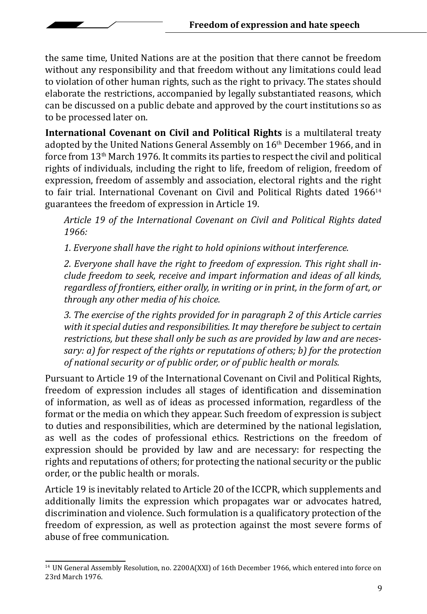the same time, United Nations are at the position that there cannot be freedom without any responsibility and that freedom without any limitations could lead to violation of other human rights, such as the right to privacy. The states should elaborate the restrictions, accompanied by legally substantiated reasons, which can be discussed on a public debate and approved by the court institutions so as to be processed later on.

**International Covenant on Civil and Political Rights** is a multilateral treaty adopted by the United Nations General Assembly on 16th December 1966, and in force from 13th March 1976. It commits its parties to respect the civil and political rights of individuals, including the right to life, freedom of religion, freedom of expression, freedom of assembly and association, electoral rights and the right to fair trial. International Covenant on Civil and Political Rights dated  $1966^{14}$ guarantees the freedom of expression in Article 19.

*Article 19 of the International Covenant on Civil and Political Rights dated 1966:*

*1. Everyone shall have the right to hold opinions without interference.*

*2. Everyone shall have the right to freedom of expression. This right shall include freedom to seek, receive and impart information and ideas of all kinds, regardless of frontiers, either orally, in writing or in print, in the form of art, or through any other media of his choice.* 

*3. The exercise of the rights provided for in paragraph 2 of this Article carries with it special duties and responsibilities. It may therefore be subject to certain restrictions, but these shall only be such as are provided by law and are necessary: a) for respect of the rights or reputations of others; b) for the protection of national security or of public order, or of public health or morals.* 

Pursuant to Article 19 of the International Covenant on Civil and Political Rights, freedom of expression includes all stages of identification and dissemination of information, as well as of ideas as processed information, regardless of the format or the media on which they appear. Such freedom of expression is subject to duties and responsibilities, which are determined by the national legislation, as well as the codes of professional ethics. Restrictions on the freedom of expression should be provided by law and are necessary: for respecting the rights and reputations of others; for protecting the national security or the public order, or the public health or morals.

Article 19 is inevitably related to Article 20 of the ICCPR, which supplements and additionally limits the expression which propagates war or advocates hatred, discrimination and violence. Such formulation is a qualificatory protection of the freedom of expression, as well as protection against the most severe forms of abuse of free communication.

<sup>14</sup> UN General Assembly Resolution, no. 2200А(XXI) of 16th December 1966, which entered into force on 23rd March 1976.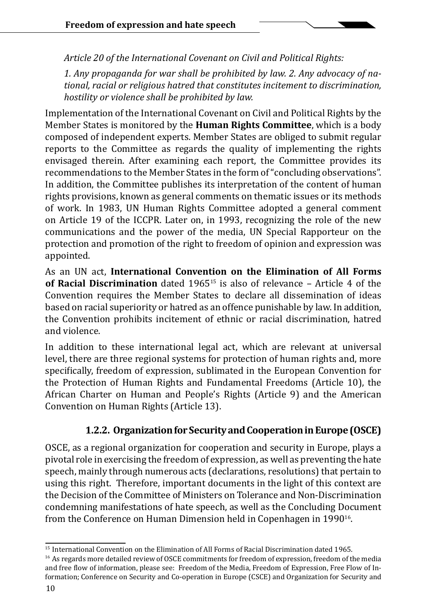*Article 20 of the International Covenant on Civil and Political Rights:*

*1. Any propaganda for war shall be prohibited by law. 2. Any advocacy of national, racial or religious hatred that constitutes incitement to discrimination, hostility or violence shall be prohibited by law.*

Implementation of the International Covenant on Civil and Political Rights by the Member States is monitored by the **Human Rights Committee**, which is a body composed of independent experts. Member States are obliged to submit regular reports to the Committee as regards the quality of implementing the rights envisaged therein. After examining each report, the Committee provides its recommendations to the Member States in the form of "concluding observations". In addition, the Committee publishes its interpretation of the content of human rights provisions, known as general comments on thematic issues or its methods of work. In 1983, UN Human Rights Committee adopted a general comment on Article 19 of the ICCPR. Later on, in 1993, recognizing the role of the new communications and the power of the media, UN Special Rapporteur on the protection and promotion of the right to freedom of opinion and expression was appointed.

As an UN act, **International Convention on the Elimination of All Forms of Racial Discrimination** dated 196515 is also of relevance – Article 4 of the Convention requires the Member States to declare all dissemination of ideas based on racial superiority or hatred as an offence punishable by law. In addition, the Convention prohibits incitement of ethnic or racial discrimination, hatred and violence.

In addition to these international legal act, which are relevant at universal level, there are three regional systems for protection of human rights and, more specifically, freedom of expression, sublimated in the European Convention for the Protection of Human Rights and Fundamental Freedoms (Article 10), the African Charter on Human and People's Rights (Article 9) and the American Convention on Human Rights (Article 13).

#### **1.2.2. Organization for Security and Cooperation in Europe (OSCE)**

OSCE, as a regional organization for cooperation and security in Europe, plays a pivotal role in exercising the freedom of expression, as well as preventing the hate speech, mainly through numerous acts (declarations, resolutions) that pertain to using this right. Therefore, important documents in the light of this context are the Decision of the Committee of Ministers on Tolerance and Non-Discrimination condemning manifestations of hate speech, as well as the Concluding Document from the Conference on Human Dimension held in Copenhagen in 1990<sup>16</sup>.

<sup>15</sup> International Convention on the Elimination of All Forms of Racial Discrimination dated 1965.

<sup>&</sup>lt;sup>16</sup> As regards more detailed review of OSCE commitments for freedom of expression, freedom of the media and free flow of information, please see: Freedom of the Media, Freedom of Expression, Free Flow of Information; Conference on Security and Co-operation in Europe (CSCE) and Organization for Security and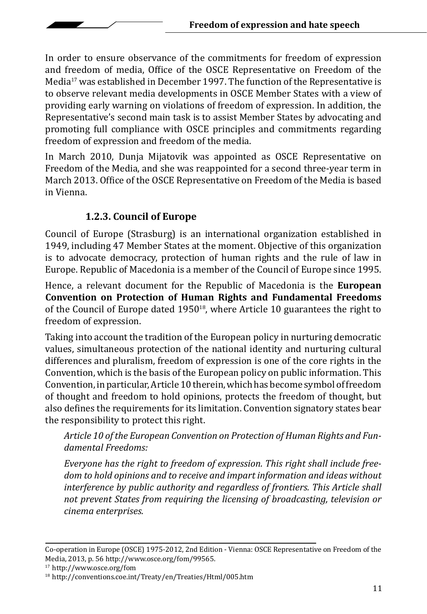In order to ensure observance of the commitments for freedom of expression and freedom of media, Office of the OSCE Representative on Freedom of the Media<sup>17</sup> was established in December 1997. The function of the Representative is to observe relevant media developments in OSCE Member States with a view of providing early warning on violations of freedom of expression. In addition, the Representative's second main task is to assist Member States by advocating and promoting full compliance with OSCE principles and commitments regarding freedom of expression and freedom of the media.

In March 2010, Dunja Mijatovik was appointed as OSCE Representative on Freedom of the Media, and she was reappointed for a second three-year term in March 2013. Office of the OSCE Representative on Freedom of the Media is based in Vienna.

#### **1.2.3. Council of Europe**

Council of Europe (Strasburg) is an international organization established in 1949, including 47 Member States at the moment. Objective of this organization is to advocate democracy, protection of human rights and the rule of law in Europe. Republic of Macedonia is a member of the Council of Europe since 1995.

Hence, a relevant document for the Republic of Macedonia is the **European Convention on Protection of Human Rights and Fundamental Freedoms** of the Council of Europe dated 1950<sup>18</sup>, where Article 10 guarantees the right to freedom of expression.

Taking into account the tradition of the European policy in nurturing democratic values, simultaneous protection of the national identity and nurturing cultural differences and pluralism, freedom of expression is one of the core rights in the Convention, which is the basis of the European policy on public information. This Convention, in particular, Article 10 therein, which has become symbol of freedom of thought and freedom to hold opinions, protects the freedom of thought, but also defines the requirements for its limitation. Convention signatory states bear the responsibility to protect this right.

*Article 10 of the European Convention on Protection of Human Rights and Fundamental Freedoms:*

*Everyone has the right to freedom of expression. This right shall include freedom to hold opinions and to receive and impart information and ideas without interference by public authority and regardless of frontiers. This Article shall not prevent States from requiring the licensing of broadcasting, television or cinema enterprises.*

Co-operation in Europe (OSCE) 1975-2012, 2nd Edition - Vienna: OSCE Representative on Freedom of the Media, 2013, p. 56 http://www.osce.org/fom/99565.

<sup>17</sup> http://www.osce.org/fom

<sup>18</sup> http://conventions.coe.int/Treaty/en/Treaties/Html/005.htm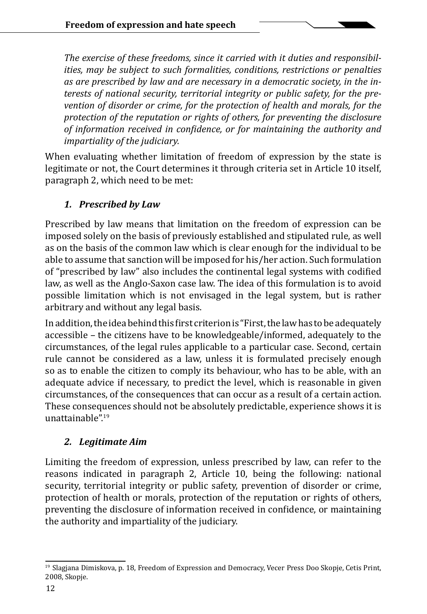*The exercise of these freedoms, since it carried with it duties and responsibilities, may be subject to such formalities, conditions, restrictions or penalties as are prescribed by law and are necessary in a democratic society, in the interests of national security, territorial integrity or public safety, for the prevention of disorder or crime, for the protection of health and morals, for the protection of the reputation or rights of others, for preventing the disclosure of information received in confidence, or for maintaining the authority and impartiality of the judiciary.*

When evaluating whether limitation of freedom of expression by the state is legitimate or not, the Court determines it through criteria set in Article 10 itself, paragraph 2, which need to be met:

#### *1. Prescribed by Law*

Prescribed by law means that limitation on the freedom of expression can be imposed solely on the basis of previously established and stipulated rule, as well as on the basis of the common law which is clear enough for the individual to be able to assume that sanction will be imposed for his/her action. Such formulation of "prescribed by law" also includes the continental legal systems with codified law, as well as the Anglo-Saxon case law. The idea of this formulation is to avoid possible limitation which is not envisaged in the legal system, but is rather arbitrary and without any legal basis.

In addition, the idea behind this first criterion is "First, the law has to be adequately accessible – the citizens have to be knowledgeable/informed, adequately to the circumstances, of the legal rules applicable to a particular case. Second, certain rule cannot be considered as a law, unless it is formulated precisely enough so as to enable the citizen to comply its behaviour, who has to be able, with an adequate advice if necessary, to predict the level, which is reasonable in given circumstances, of the consequences that can occur as a result of a certain action. These consequences should not be absolutely predictable, experience shows it is unattainable".<sup>19</sup>

#### *2. Legitimate Aim*

Limiting the freedom of expression, unless prescribed by law, can refer to the reasons indicated in paragraph 2, Article 10, being the following: national security, territorial integrity or public safety, prevention of disorder or crime, protection of health or morals, protection of the reputation or rights of others, preventing the disclosure of information received in confidence, or maintaining the authority and impartiality of the judiciary.

<sup>&</sup>lt;sup>19</sup> Slagjana Dimiskova, p. 18, Freedom of Expression and Democracy, Vecer Press Doo Skopje, Cetis Print, 2008, Skopje.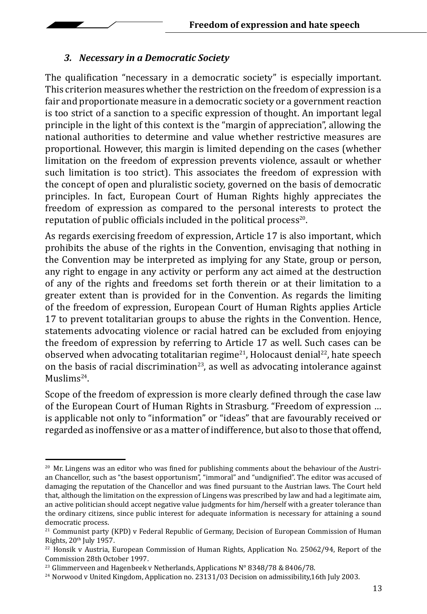#### *3. Necessary in a Democratic Society*

The qualification "necessary in a democratic society" is especially important. This criterion measures whether the restriction on the freedom of expression is a fair and proportionate measure in a democratic society or a government reaction is too strict of a sanction to a specific expression of thought. An important legal principle in the light of this context is the "margin of appreciation", allowing the national authorities to determine and value whether restrictive measures are proportional. However, this margin is limited depending on the cases (whether limitation on the freedom of expression prevents violence, assault or whether such limitation is too strict). This associates the freedom of expression with the concept of open and pluralistic society, governed on the basis of democratic principles. In fact, European Court of Human Rights highly appreciates the freedom of expression as compared to the personal interests to protect the reputation of public officials included in the political process<sup>20</sup>.

As regards exercising freedom of expression, Article 17 is also important, which prohibits the abuse of the rights in the Convention, envisaging that nothing in the Convention may be interpreted as implying for any State, group or person, any right to engage in any activity or perform any act aimed at the destruction of any of the rights and freedoms set forth therein or at their limitation to a greater extent than is provided for in the Convention. As regards the limiting of the freedom of expression, European Court of Human Rights applies Article 17 to prevent totalitarian groups to abuse the rights in the Convention. Hence, statements advocating violence or racial hatred can be excluded from enjoying the freedom of expression by referring to Article 17 as well. Such cases can be observed when advocating totalitarian regime<sup>21</sup>, Holocaust denial<sup>22</sup>, hate speech on the basis of racial discrimination<sup>23</sup>, as well as advocating intolerance against Muslims24.

Scope of the freedom of expression is more clearly defined through the case law of the European Court of Human Rights in Strasburg. "Freedom of expression … is applicable not only to "information" or "ideas" that are favourably received or regarded as inoffensive or as a matter of indifference, but also to those that offend,

 $20$  Mr. Lingens was an editor who was fined for publishing comments about the behaviour of the Austrian Chancellor, such as "the basest opportunism", "immoral" and "undignified". The editor was accused of damaging the reputation of the Chancellor and was fined pursuant to the Austrian laws. The Court held that, although the limitation on the expression of Lingens was prescribed by law and had a legitimate aim, an active politician should accept negative value judgments for him/herself with a greater tolerance than the ordinary citizens, since public interest for adequate information is necessary for attaining a sound democratic process.

 $21$  Communist party (KPD) v Federal Republic of Germany, Decision of European Commission of Human Rights, 20<sup>th</sup> July 1957.

<sup>&</sup>lt;sup>22</sup> Honsik v Austria, European Commission of Human Rights, Application No. 25062/94, Report of the Commission 28th October 1997.

<sup>&</sup>lt;sup>23</sup> Glimmerveen and Hagenbeek v Netherlands, Applications  $N^{\circ}$  8348/78 & 8406/78.

<sup>&</sup>lt;sup>24</sup> Norwood v United Kingdom, Application no. 23131/03 Decision on admissibility,16th July 2003.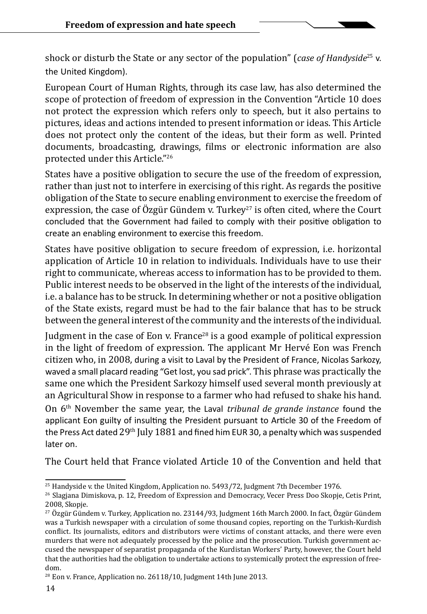shock or disturb the State or any sector of the population" (*case of Handyside*25 v. the United Kingdom).

European Court of Human Rights, through its case law, has also determined the scope of protection of freedom of expression in the Convention "Article 10 does not protect the expression which refers only to speech, but it also pertains to pictures, ideas and actions intended to present information or ideas. This Article does not protect only the content of the ideas, but their form as well. Printed documents, broadcasting, drawings, films or electronic information are also protected under this Article."<sup>26</sup>

States have a positive obligation to secure the use of the freedom of expression, rather than just not to interfere in exercising of this right. As regards the positive obligation of the State to secure enabling environment to exercise the freedom of expression, the case of Özgür Gündem v. Turkey<sup>27</sup> is often cited, where the Court concluded that the Government had failed to comply with their positive obligation to create an enabling environment to exercise this freedom.

States have positive obligation to secure freedom of expression, i.e. horizontal application of Article 10 in relation to individuals. Individuals have to use their right to communicate, whereas access to information has to be provided to them. Public interest needs to be observed in the light of the interests of the individual, i.e. a balance has to be struck. In determining whether or not a positive obligation of the State exists, regard must be had to the fair balance that has to be struck between the general interest of the community and the interests of the individual.

Judgment in the case of Eon v. France<sup>28</sup> is a good example of political expression in the light of freedom of expression. The applicant Mr Hervé Eon was French citizen who, in 2008, during a visit to Laval by the President of France, Nicolas Sarkozy, waved a small placard reading "Get lost, you sad prick". This phrase was practically the same one which the President Sarkozy himself used several month previously at an Agricultural Show in response to a farmer who had refused to shake his hand. On 6th November the same year, the Laval *tribunal de grande instance* found the applicant Eon guilty of insulting the President pursuant to Article 30 of the Freedom of the Press Act dated 29<sup>th</sup> July 1881 and fined him EUR 30, a penalty which was suspended later on.

The Court held that France violated Article 10 of the Convention and held that

 $25$  Handyside v. the United Kingdom, Application no. 5493/72, Judgment 7th December 1976.

 $^{26}$  Slagjana Dimiskova, p. 12, Freedom of Expression and Democracy, Vecer Press Doo Skopje, Cetis Print, 2008, Skopje.

 $^{27}$  Özgür Gündem v. Turkey, Application no. 23144/93, Judgment 16th March 2000. In fact, Özgür Gündem was a Turkish newspaper with a circulation of some thousand copies, reporting on the Turkish-Kurdish conflict. Its journalists, editors and distributors were victims of constant attacks, and there were even murders that were not adequately processed by the police and the prosecution. Turkish government accused the newspaper of separatist propaganda of the Kurdistan Workers' Party, however, the Court held that the authorities had the obligation to undertake actions to systemically protect the expression of freedom.

<sup>&</sup>lt;sup>28</sup> Eon v. France, Application no. 26118/10, Judgment 14th June 2013.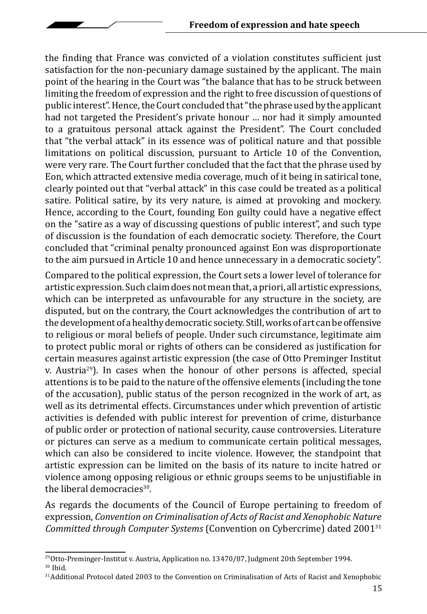the finding that France was convicted of a violation constitutes sufficient just satisfaction for the non-pecuniary damage sustained by the applicant. The main point of the hearing in the Court was "the balance that has to be struck between limiting the freedom of expression and the right to free discussion of questions of public interest". Hence, the Court concluded that "the phrase used by the applicant had not targeted the President's private honour … nor had it simply amounted to a gratuitous personal attack against the President". The Court concluded that "the verbal attack" in its essence was of political nature and that possible limitations on political discussion, pursuant to Article 10 of the Convention, were very rare. The Court further concluded that the fact that the phrase used by Eon, which attracted extensive media coverage, much of it being in satirical tone, clearly pointed out that "verbal attack" in this case could be treated as a political satire. Political satire, by its very nature, is aimed at provoking and mockery. Hence, according to the Court, founding Eon guilty could have a negative effect on the "satire as a way of discussing questions of public interest", and such type of discussion is the foundation of each democratic society. Therefore, the Court concluded that "criminal penalty pronounced against Eon was disproportionate to the aim pursued in Article 10 and hence unnecessary in a democratic society".

Compared to the political expression, the Court sets a lower level of tolerance for artistic expression. Such claim does not mean that, a priori, all artistic expressions, which can be interpreted as unfavourable for any structure in the society, are disputed, but on the contrary, the Court acknowledges the contribution of art to the development of a healthy democratic society. Still, works of art can be offensive to religious or moral beliefs of people. Under such circumstance, legitimate aim to protect public moral or rights of others can be considered as justification for certain measures against artistic expression (the case of Otto Preminger Institut v. Austria<sup>29</sup>). In cases when the honour of other persons is affected, special attentions is to be paid to the nature of the offensive elements (including the tone of the accusation), public status of the person recognized in the work of art, as well as its detrimental effects. Circumstances under which prevention of artistic activities is defended with public interest for prevention of crime, disturbance of public order or protection of national security, cause controversies. Literature or pictures can serve as a medium to communicate certain political messages, which can also be considered to incite violence. However, the standpoint that artistic expression can be limited on the basis of its nature to incite hatred or violence among opposing religious or ethnic groups seems to be unjustifiable in the liberal democracies<sup>30</sup>.

As regards the documents of the Council of Europe pertaining to freedom of expression, *Convention on Criminalisation of Acts of Racist and Xenophobic Nature Committed through Computer Systems* (Convention on Cybercrime) dated 200131

 $29$ Otto-Preminger-Institut v. Austria, Application no. 13470/87, Judgment 20th September 1994.

<sup>30</sup> Ibid.

<sup>&</sup>lt;sup>31</sup>Additional Protocol dated 2003 to the Convention on Criminalisation of Acts of Racist and Xenophobic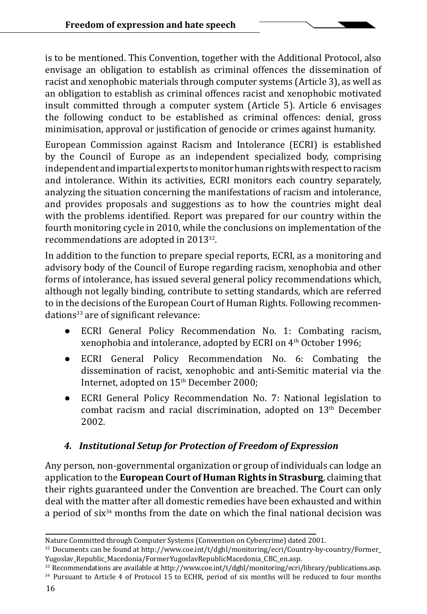is to be mentioned. This Convention, together with the Additional Protocol, also envisage an obligation to establish as criminal offences the dissemination of racist and xenophobic materials through computer systems (Article 3), as well as an obligation to establish as criminal offences racist and xenophobic motivated insult committed through a computer system (Article 5). Article 6 envisages the following conduct to be established as criminal offences: denial, gross minimisation, approval or justification of genocide or crimes against humanity.

European Commission against Racism and Intolerance (ECRI) is established by the Council of Europe as an independent specialized body, comprising independent and impartial experts to monitor human rights with respect to racism and intolerance. Within its activities, ECRI monitors each country separately, analyzing the situation concerning the manifestations of racism and intolerance, and provides proposals and suggestions as to how the countries might deal with the problems identified. Report was prepared for our country within the fourth monitoring cycle in 2010, while the conclusions on implementation of the recommendations are adopted in 2013<sup>32</sup>.

In addition to the function to prepare special reports, ECRI, as a monitoring and advisory body of the Council of Europe regarding racism, xenophobia and other forms of intolerance, has issued several general policy recommendations which, although not legally binding, contribute to setting standards, which are referred to in the decisions of the European Court of Human Rights. Following recommendations<sup>33</sup> are of significant relevance:

- ECRI General Policy Recommendation No. 1: Combating racism, xenophobia and intolerance, adopted by ECRI on 4th October 1996;
- ECRI General Policy Recommendation No. 6: Combating the dissemination of racist, xenophobic and anti-Semitic material via the Internet, adopted on 15<sup>th</sup> December 2000;
- ECRI General Policy Recommendation No. 7: National legislation to combat racism and racial discrimination, adopted on 13<sup>th</sup> December 2002.

#### *4. Institutional Setup for Protection of Freedom of Expression*

Any person, non-governmental organization or group of individuals can lodge an application to the **European Court of Human Rights in Strasburg**, claiming that their rights guaranteed under the Convention are breached. The Court can only deal with the matter after all domestic remedies have been exhausted and within a period of six<sup>34</sup> months from the date on which the final national decision was

- <sup>33</sup> Recommendations are available at http://www.coe.int/t/dghl/monitoring/ecri/library/publications.asp.<br><sup>34</sup> Pursuant to Article 4 of Protocol 15 to ECHR, period of six months will be reduced to four months
- 

Nature Committed through Computer Systems (Convention on Cybercrime) dated 2001.

<sup>&</sup>lt;sup>32</sup> Documents can be found at http://www.coe.int/t/dghl/monitoring/ecri/Country-by-country/Former\_<br>Yugoslav\_Republic\_Macedonia/FormerYugoslavRepublicMacedonia\_CBC\_en.asp.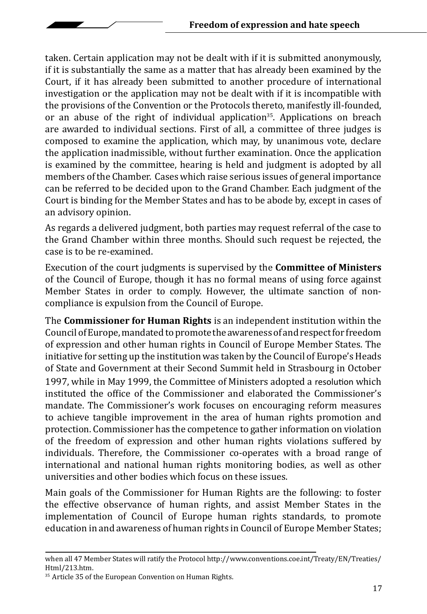taken. Certain application may not be dealt with if it is submitted anonymously, if it is substantially the same as a matter that has already been examined by the Court, if it has already been submitted to another procedure of international investigation or the application may not be dealt with if it is incompatible with the provisions of the Convention or the Protocols thereto, manifestly ill-founded, or an abuse of the right of individual application<sup>35</sup>. Applications on breach are awarded to individual sections. First of all, a committee of three judges is composed to examine the application, which may, by unanimous vote, declare the application inadmissible, without further examination. Once the application is examined by the committee, hearing is held and judgment is adopted by all members of the Chamber. Cases which raise serious issues of general importance can be referred to be decided upon to the Grand Chamber. Each judgment of the Court is binding for the Member States and has to be abode by, except in cases of an advisory opinion.

As regards a delivered judgment, both parties may request referral of the case to the Grand Chamber within three months. Should such request be rejected, the case is to be re-examined.

Execution of the court judgments is supervised by the **Committee of Ministers**  of the Council of Europe, though it has no formal means of using force against Member States in order to comply. However, the ultimate sanction of noncompliance is expulsion from the Council of Europe.

The **Commissioner for Human Rights** is an independent institution within the Council of Europe, mandated to promote the awareness of and respect for freedom of expression and other human rights in Council of Europe Member States. The initiative for setting up the institution was taken by the Council of Europe's Heads of State and Government at their Second Summit held in Strasbourg in October 1997, while in May 1999, the Committee of Ministers adopted a resolution which instituted the office of the Commissioner and elaborated the Commissioner's mandate. The Commissioner's work focuses on encouraging reform measures to achieve tangible improvement in the area of human rights promotion and protection. Commissioner has the competence to gather information on violation of the freedom of expression and other human rights violations suffered by individuals. Therefore, the Commissioner co-operates with a broad range of international and national human rights monitoring bodies, as well as other universities and other bodies which focus on these issues.

Main goals of the Commissioner for Human Rights are the following: to foster the effective observance of human rights, and assist Member States in the implementation of Council of Europe human rights standards, to promote education in and awareness of human rights in Council of Europe Member States;

when all 47 Member States will ratify the Protocol http://www.conventions.coe.int/Treaty/EN/Treaties/<br>Html/213.htm.

<sup>&</sup>lt;sup>35</sup> Article 35 of the European Convention on Human Rights.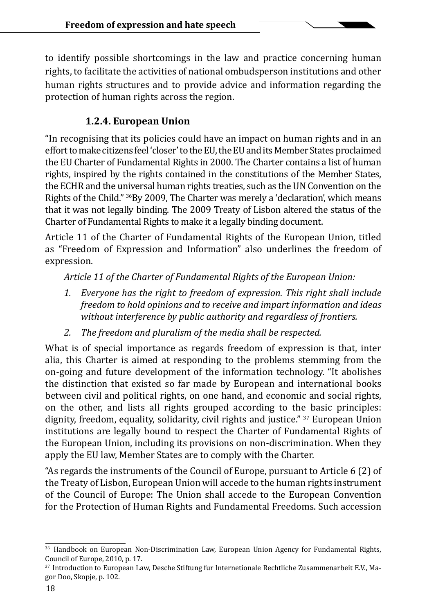to identify possible shortcomings in the law and practice concerning human rights, to facilitate the activities of national ombudsperson institutions and other human rights structures and to provide advice and information regarding the protection of human rights across the region.

#### **1.2.4. European Union**

"In recognising that its policies could have an impact on human rights and in an effort to make citizens feel 'closer' to the EU, the EU and its Member States proclaimed the EU Charter of Fundamental Rights in 2000. The Charter contains a list of human rights, inspired by the rights contained in the constitutions of the Member States, the ECHR and the universal human rights treaties, such as the UN Convention on the Rights of the Child." <sup>36</sup>By 2009, The Charter was merely a 'declaration', which means that it was not legally binding. The 2009 Treaty of Lisbon altered the status of the Charter of Fundamental Rights to make it a legally binding document.

Article 11 of the Charter of Fundamental Rights of the European Union, titled as "Freedom of Expression and Information" also underlines the freedom of expression.

*Article 11 of the Charter of Fundamental Rights of the European Union:*

- *1. Everyone has the right to freedom of expression. This right shall include freedom to hold opinions and to receive and impart information and ideas without interference by public authority and regardless of frontiers.*
- *2. The freedom and pluralism of the media shall be respected.*

What is of special importance as regards freedom of expression is that, inter alia, this Charter is aimed at responding to the problems stemming from the on-going and future development of the information technology. "It abolishes the distinction that existed so far made by European and international books between civil and political rights, on one hand, and economic and social rights, on the other, and lists all rights grouped according to the basic principles: dignity, freedom, equality, solidarity, civil rights and justice." <sup>37</sup> European Union institutions are legally bound to respect the Charter of Fundamental Rights of the European Union, including its provisions on non-discrimination. When they apply the EU law, Member States are to comply with the Charter.

"As regards the instruments of the Council of Europe, pursuant to Article 6 (2) of the Treaty of Lisbon, European Union will accede to the human rights instrument of the Council of Europe: The Union shall accede to the European Convention for the Protection of Human Rights and Fundamental Freedoms. Such accession

<sup>36</sup> Handbook on European Non-Discrimination Law, European Union Agency for Fundamental Rights, Council of Europe, 2010, p. 17.

<sup>37</sup> Introduction to European Law, Desche Stiftung fur Internetionale Rechtliche Zusammenarbeit E.V., Magor Doo, Skopje, p. 102.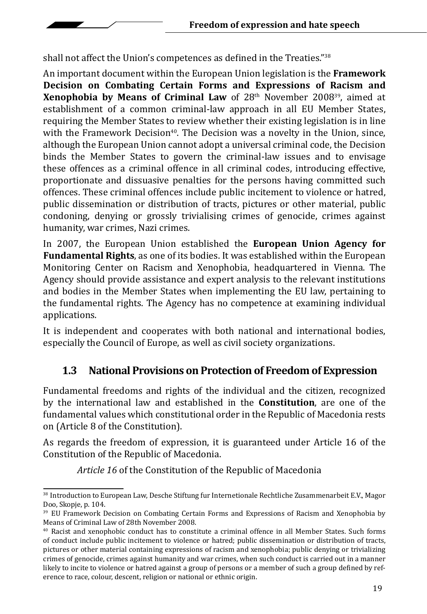shall not affect the Union's competences as defined in the Treaties."<sup>38</sup>

An important document within the European Union legislation is the **Framework Decision on Combating Certain Forms and Expressions of Racism and Xenophobia by Means of Criminal Law** of 28th November 200839, aimed at establishment of a common criminal-law approach in all EU Member States, requiring the Member States to review whether their existing legislation is in line with the Framework Decision<sup>40</sup>. The Decision was a novelty in the Union, since, although the European Union cannot adopt a universal criminal code, the Decision binds the Member States to govern the criminal-law issues and to envisage these offences as a criminal offence in all criminal codes, introducing effective, proportionate and dissuasive penalties for the persons having committed such offences. These criminal offences include public incitement to violence or hatred, public dissemination or distribution of tracts, pictures or other material, public condoning, denying or grossly trivialising crimes of genocide, crimes against humanity, war crimes, Nazi crimes.

In 2007, the European Union established the **European Union Agency for Fundamental Rights**, as one of its bodies. It was established within the European Monitoring Center on Racism and Xenophobia, headquartered in Vienna. The Agency should provide assistance and expert analysis to the relevant institutions and bodies in the Member States when implementing the EU law, pertaining to the fundamental rights. The Agency has no competence at examining individual applications.

It is independent and cooperates with both national and international bodies, especially the Council of Europe, as well as civil society organizations.

### **1.3 National Provisions on Protection of Freedom of Expression**

Fundamental freedoms and rights of the individual and the citizen, recognized by the international law and established in the **Constitution**, are one of the fundamental values which constitutional order in the Republic of Macedonia rests on (Article 8 of the Constitution).

As regards the freedom of expression, it is guaranteed under Article 16 of the Constitution of the Republic of Macedonia.

*Article 16* of the Constitution of the Republic of Macedonia

<sup>38</sup> Introduction to European Law, Desche Stiftung fur Internetionale Rechtliche Zusammenarbeit E.V., Magor Doo, Skopje, p. 104.

<sup>&</sup>lt;sup>39</sup> EU Framework Decision on Combating Certain Forms and Expressions of Racism and Xenophobia by Means of Criminal Law of 28th November 2008.

<sup>40</sup> Racist and xenophobic conduct has to constitute a criminal offence in all Member States. Such forms of conduct include public incitement to violence or hatred; public dissemination or distribution of tracts, pictures or other material containing expressions of racism and xenophobia; public denying or trivializing crimes of genocide, crimes against humanity and war crimes, when such conduct is carried out in a manner likely to incite to violence or hatred against a group of persons or a member of such a group defined by reference to race, colour, descent, religion or national or ethnic origin.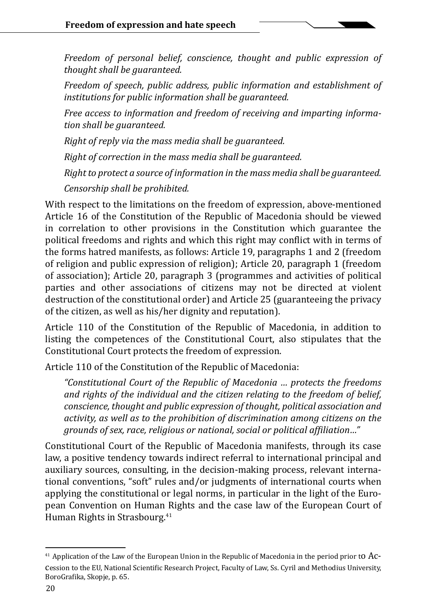*Freedom of personal belief, conscience, thought and public expression of thought shall be guaranteed.*

*Freedom of speech, public address, public information and establishment of institutions for public information shall be guaranteed.*

*Free access to information and freedom of receiving and imparting information shall be guaranteed.* 

*Right of reply via the mass media shall be guaranteed.*

*Right of correction in the mass media shall be guaranteed.* 

*Right to protect a source of information in the mass media shall be guaranteed.* 

*Censorship shall be prohibited.*

With respect to the limitations on the freedom of expression, above-mentioned Article 16 of the Constitution of the Republic of Macedonia should be viewed in correlation to other provisions in the Constitution which guarantee the political freedoms and rights and which this right may conflict with in terms of the forms hatred manifests, as follows: Article 19, paragraphs 1 and 2 (freedom of religion and public expression of religion); Article 20, paragraph 1 (freedom of association); Article 20, paragraph 3 (programmes and activities of political parties and other associations of citizens may not be directed at violent destruction of the constitutional order) and Article 25 (guaranteeing the privacy of the citizen, as well as his/her dignity and reputation).

Article 110 of the Constitution of the Republic of Macedonia, in addition to listing the competences of the Constitutional Court, also stipulates that the Constitutional Court protects the freedom of expression.

Article 110 of the Constitution of the Republic of Macedonia:

*"Constitutional Court of the Republic of Macedonia … protects the freedoms and rights of the individual and the citizen relating to the freedom of belief, conscience, thought and public expression of thought, political association and activity, as well as to the prohibition of discrimination among citizens on the grounds of sex, race, religious or national, social or political affiliation…"*

Constitutional Court of the Republic of Macedonia manifests, through its case law, a positive tendency towards indirect referral to international principal and auxiliary sources, consulting, in the decision-making process, relevant international conventions, "soft" rules and/or judgments of international courts when applying the constitutional or legal norms, in particular in the light of the European Convention on Human Rights and the case law of the European Court of Human Rights in Strasbourg.<sup>41</sup>

 $41$  Application of the Law of the European Union in the Republic of Macedonia in the period prior to  $Ac$ cession to the EU, National Scientific Research Project, Faculty of Law, Ss. Cyril and Methodius University, BoroGrafika, Skopje, p. 65.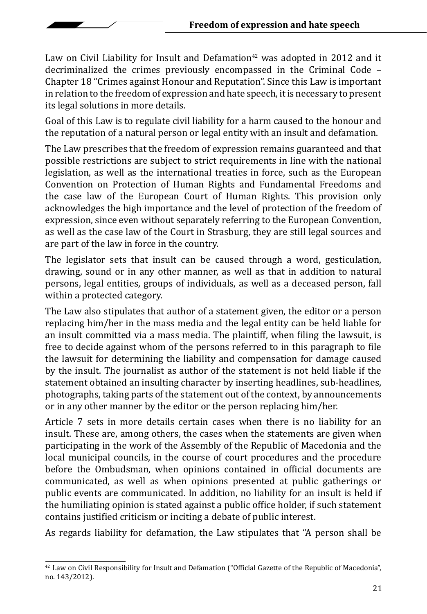Law on Civil Liability for Insult and Defamation<sup>42</sup> was adopted in 2012 and it decriminalized the crimes previously encompassed in the Criminal Code – Chapter 18 "Crimes against Honour and Reputation". Since this Law is important in relation to the freedom of expression and hate speech, it is necessary to present its legal solutions in more details.

Goal of this Law is to regulate civil liability for a harm caused to the honour and the reputation of a natural person or legal entity with an insult and defamation.

The Law prescribes that the freedom of expression remains guaranteed and that possible restrictions are subject to strict requirements in line with the national legislation, as well as the international treaties in force, such as the European Convention on Protection of Human Rights and Fundamental Freedoms and the case law of the European Court of Human Rights. This provision only acknowledges the high importance and the level of protection of the freedom of expression, since even without separately referring to the European Convention, as well as the case law of the Court in Strasburg, they are still legal sources and are part of the law in force in the country.

The legislator sets that insult can be caused through a word, gesticulation, drawing, sound or in any other manner, as well as that in addition to natural persons, legal entities, groups of individuals, as well as a deceased person, fall within a protected category.

The Law also stipulates that author of a statement given, the editor or a person replacing him/her in the mass media and the legal entity can be held liable for an insult committed via a mass media. The plaintiff, when filing the lawsuit, is free to decide against whom of the persons referred to in this paragraph to file the lawsuit for determining the liability and compensation for damage caused by the insult. The journalist as author of the statement is not held liable if the statement obtained an insulting character by inserting headlines, sub-headlines, photographs, taking parts of the statement out of the context, by announcements or in any other manner by the editor or the person replacing him/her.

Article 7 sets in more details certain cases when there is no liability for an insult. These are, among others, the cases when the statements are given when participating in the work of the Assembly of the Republic of Macedonia and the local municipal councils, in the course of court procedures and the procedure before the Ombudsman, when opinions contained in official documents are communicated, as well as when opinions presented at public gatherings or public events are communicated. In addition, no liability for an insult is held if the humiliating opinion is stated against a public office holder, if such statement contains justified criticism or inciting a debate of public interest.

As regards liability for defamation, the Law stipulates that "A person shall be

 $42$  Law on Civil Responsibility for Insult and Defamation ("Official Gazette of the Republic of Macedonia", no. 143/2012).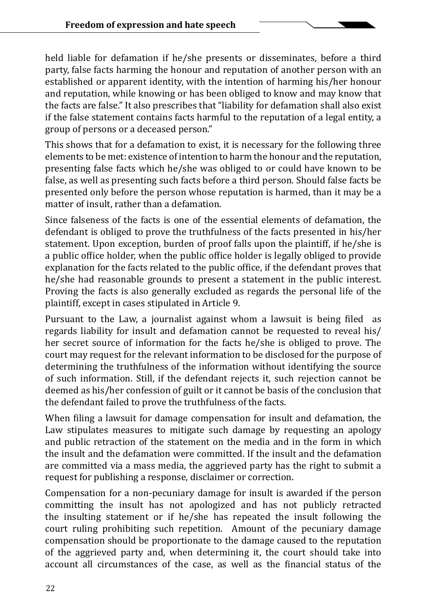held liable for defamation if he/she presents or disseminates, before a third party, false facts harming the honour and reputation of another person with an established or apparent identity, with the intention of harming his/her honour and reputation, while knowing or has been obliged to know and may know that the facts are false." It also prescribes that "liability for defamation shall also exist if the false statement contains facts harmful to the reputation of a legal entity, a group of persons or a deceased person."

This shows that for a defamation to exist, it is necessary for the following three elements to be met: existence of intention to harm the honour and the reputation, presenting false facts which he/she was obliged to or could have known to be false, as well as presenting such facts before a third person. Should false facts be presented only before the person whose reputation is harmed, than it may be a matter of insult, rather than a defamation.

Since falseness of the facts is one of the essential elements of defamation, the defendant is obliged to prove the truthfulness of the facts presented in his/her statement. Upon exception, burden of proof falls upon the plaintiff, if he/she is a public office holder, when the public office holder is legally obliged to provide explanation for the facts related to the public office, if the defendant proves that he/she had reasonable grounds to present a statement in the public interest. Proving the facts is also generally excluded as regards the personal life of the plaintiff, except in cases stipulated in Article 9.

Pursuant to the Law, a journalist against whom a lawsuit is being filed as regards liability for insult and defamation cannot be requested to reveal his/ her secret source of information for the facts he/she is obliged to prove. The court may request for the relevant information to be disclosed for the purpose of determining the truthfulness of the information without identifying the source of such information. Still, if the defendant rejects it, such rejection cannot be deemed as his/her confession of guilt or it cannot be basis of the conclusion that the defendant failed to prove the truthfulness of the facts.

When filing a lawsuit for damage compensation for insult and defamation, the Law stipulates measures to mitigate such damage by requesting an apology and public retraction of the statement on the media and in the form in which the insult and the defamation were committed. If the insult and the defamation are committed via a mass media, the aggrieved party has the right to submit a request for publishing a response, disclaimer or correction.

Compensation for a non-pecuniary damage for insult is awarded if the person committing the insult has not apologized and has not publicly retracted the insulting statement or if he/she has repeated the insult following the court ruling prohibiting such repetition. Amount of the pecuniary damage compensation should be proportionate to the damage caused to the reputation of the aggrieved party and, when determining it, the court should take into account all circumstances of the case, as well as the financial status of the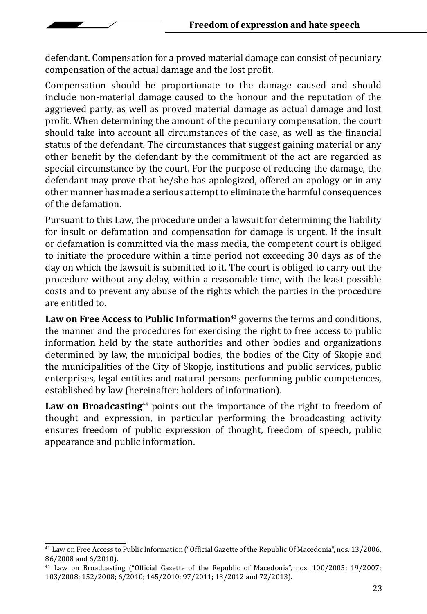defendant. Compensation for a proved material damage can consist of pecuniary compensation of the actual damage and the lost profit.

Compensation should be proportionate to the damage caused and should include non-material damage caused to the honour and the reputation of the aggrieved party, as well as proved material damage as actual damage and lost profit. When determining the amount of the pecuniary compensation, the court should take into account all circumstances of the case, as well as the financial status of the defendant. The circumstances that suggest gaining material or any other benefit by the defendant by the commitment of the act are regarded as special circumstance by the court. For the purpose of reducing the damage, the defendant may prove that he/she has apologized, offered an apology or in any other manner has made a serious attempt to eliminate the harmful consequences of the defamation.

Pursuant to this Law, the procedure under a lawsuit for determining the liability for insult or defamation and compensation for damage is urgent. If the insult or defamation is committed via the mass media, the competent court is obliged to initiate the procedure within a time period not exceeding 30 days as of the day on which the lawsuit is submitted to it. The court is obliged to carry out the procedure without any delay, within a reasonable time, with the least possible costs and to prevent any abuse of the rights which the parties in the procedure are entitled to.

Law on Free Access to Public Information<sup>43</sup> governs the terms and conditions, the manner and the procedures for exercising the right to free access to public information held by the state authorities and other bodies and organizations determined by law, the municipal bodies, the bodies of the City of Skopje and the municipalities of the City of Skopje, institutions and public services, public enterprises, legal entities and natural persons performing public competences, established by law (hereinafter: holders of information).

**Law on Broadcasting**<sup>44</sup> points out the importance of the right to freedom of thought and expression, in particular performing the broadcasting activity ensures freedom of public expression of thought, freedom of speech, public appearance and public information.

<sup>43</sup> Law on Free Access to Public Information ("Official Gazette of the Republic Of Macedonia", nos. 13/2006, 86/2008 and 6/2010).

<sup>44</sup> Law on Broadcasting ("Official Gazette of the Republic of Macedonia", nos. 100/2005; 19/2007; 103/2008; 152/2008; 6/2010; 145/2010; 97/2011; 13/2012 and 72/2013).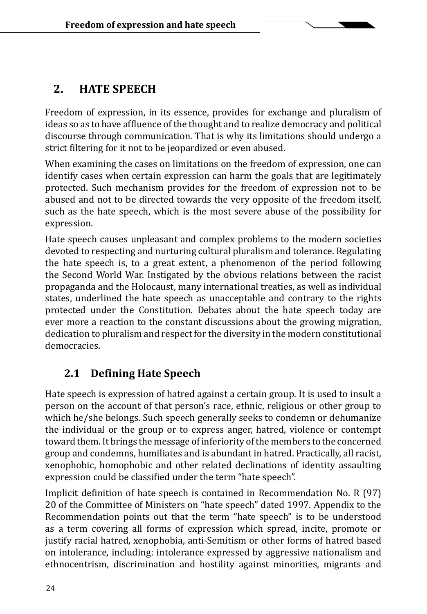## **2. HATE SPEECH**

Freedom of expression, in its essence, provides for exchange and pluralism of ideas so as to have affluence of the thought and to realize democracy and political discourse through communication. That is why its limitations should undergo a strict filtering for it not to be jeopardized or even abused.

When examining the cases on limitations on the freedom of expression, one can identify cases when certain expression can harm the goals that are legitimately protected. Such mechanism provides for the freedom of expression not to be abused and not to be directed towards the very opposite of the freedom itself, such as the hate speech, which is the most severe abuse of the possibility for expression.

Hate speech causes unpleasant and complex problems to the modern societies devoted to respecting and nurturing cultural pluralism and tolerance. Regulating the hate speech is, to a great extent, a phenomenon of the period following the Second World War. Instigated by the obvious relations between the racist propaganda and the Holocaust, many international treaties, as well as individual states, underlined the hate speech as unacceptable and contrary to the rights protected under the Constitution. Debates about the hate speech today are ever more a reaction to the constant discussions about the growing migration, dedication to pluralism and respect for the diversity in the modern constitutional democracies.

### **2.1 Defining Hate Speech**

Hate speech is expression of hatred against a certain group. It is used to insult a person on the account of that person's race, ethnic, religious or other group to which he/she belongs. Such speech generally seeks to condemn or dehumanize the individual or the group or to express anger, hatred, violence or contempt toward them. It brings the message of inferiority of the members to the concerned group and condemns, humiliates and is abundant in hatred. Practically, all racist, xenophobic, homophobic and other related declinations of identity assaulting expression could be classified under the term "hate speech".

Implicit definition of hate speech is contained in Recommendation No. R (97) 20 of the Committee of Ministers on "hate speech" dated 1997. Appendix to the Recommendation points out that the term "hate speech" is to be understood as a term covering all forms of expression which spread, incite, promote or justify racial hatred, xenophobia, anti-Semitism or other forms of hatred based on intolerance, including: intolerance expressed by aggressive nationalism and ethnocentrism, discrimination and hostility against minorities, migrants and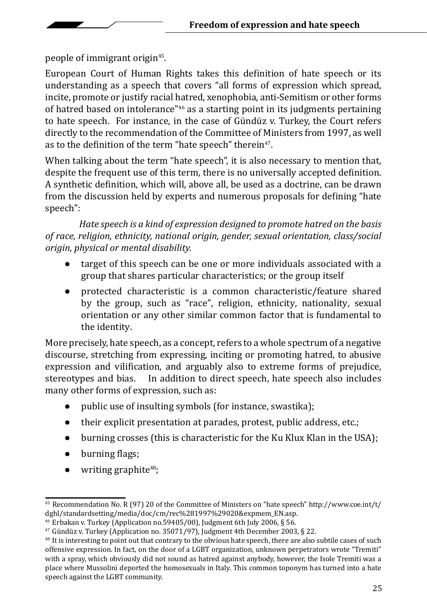people of immigrant origin<sup>45</sup>.

European Court of Human Rights takes this definition of hate speech or its understanding as a speech that covers "all forms of expression which spread, incite, promote or justify racial hatred, xenophobia, anti-Semitism or other forms of hatred based on intolerance"<sup>46</sup> as a starting point in its judgments pertaining to hate speech. For instance, in the case of Gündüz v. Turkey, the Court refers directly to the recommendation of the Committee of Ministers from 1997, as well as to the definition of the term "hate speech" therein<sup>47</sup>.

When talking about the term "hate speech", it is also necessary to mention that, despite the frequent use of this term, there is no universally accepted definition. A synthetic definition, which will, above all, be used as a doctrine, can be drawn from the discussion held by experts and numerous proposals for defining "hate speech":

*Hate speech is a kind of expression designed to promote hatred on the basis of race, religion, ethnicity, national origin, gender, sexual orientation, class/social origin, physical or mental disability.*

- target of this speech can be one or more individuals associated with a group that shares particular characteristics; or the group itself
- protected characteristic is a common characteristic/feature shared by the group, such as "race", religion, ethnicity, nationality, sexual orientation or any other similar common factor that is fundamental to the identity.

More precisely, hate speech, as a concept, refers to a whole spectrum of a negative discourse, stretching from expressing, inciting or promoting hatred, to abusive expression and vilification, and arguably also to extreme forms of prejudice, stereotypes and bias. In addition to direct speech, hate speech also includes In addition to direct speech, hate speech also includes many other forms of expression, such as:

- public use of insulting symbols (for instance, swastika);
- their explicit presentation at parades, protest, public address, etc.;
- burning crosses (this is characteristic for the Ku Klux Klan in the USA);
- burning flags;
- $\bullet$  writing graphite<sup>48</sup>;

<sup>&</sup>lt;sup>45</sup> Recommendation No. R (97) 20 of the Committee of Ministers on "hate speech" http://www.coe.int/t/ dghl/standardsetting/media/doc/cm/rec%281997%29020&expmem\_EN.asp.

<sup>&</sup>lt;sup>46</sup> Erbakan v. Turkey (Application no.59405/00), Judgment 6th July 2006, § 56.

<sup>47</sup> Gündüz v. Turkey (Application no. 35071/97), Judgment 4th December 2003, § 22.

<sup>&</sup>lt;sup>48</sup> It is interesting to point out that contrary to the obvious hate speech, there are also subtile cases of such offensive expression. In fact, on the door of a LGBT organization, unknown perpetrators wrote "Tremiti" with a spray, which obviously did not sound as hatred against anybody, however, the Isole Tremiti was a place where Mussolini deported the homosexuals in Italy. This common toponym has turned into a hate speech against the LGBT community.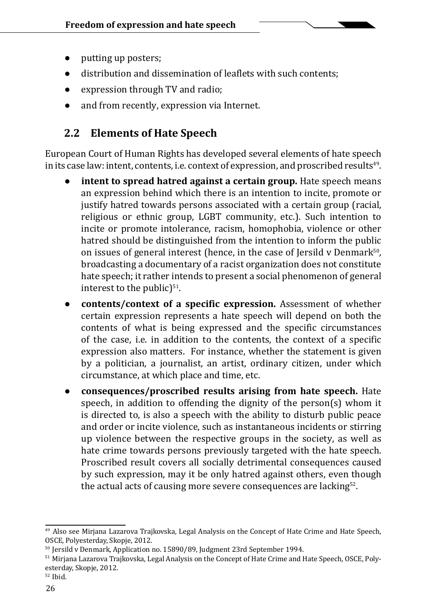- putting up posters;
- distribution and dissemination of leaflets with such contents;
- expression through TV and radio;
- and from recently, expression via Internet.

### **2.2 Elements of Hate Speech**

European Court of Human Rights has developed several elements of hate speech in its case law: intent, contents, i.e. context of expression, and proscribed results $^{49}$ .

- **intent to spread hatred against a certain group.** Hate speech means an expression behind which there is an intention to incite, promote or justify hatred towards persons associated with a certain group (racial, religious or ethnic group, LGBT community, etc.). Such intention to incite or promote intolerance, racism, homophobia, violence or other hatred should be distinguished from the intention to inform the public on issues of general interest (hence, in the case of Jersild v Denmark $50$ , broadcasting a documentary of a racist organization does not constitute hate speech; it rather intends to present a social phenomenon of general interest to the public $5<sup>51</sup>$ .
- **contents/context of a specific expression.** Assessment of whether certain expression represents a hate speech will depend on both the contents of what is being expressed and the specific circumstances of the case, i.e. in addition to the contents, the context of a specific expression also matters. For instance, whether the statement is given by a politician, a journalist, an artist, ordinary citizen, under which circumstance, at which place and time, etc.
- **consequences/proscribed results arising from hate speech.** Hate speech, in addition to offending the dignity of the person(s) whom it is directed to, is also a speech with the ability to disturb public peace and order or incite violence, such as instantaneous incidents or stirring up violence between the respective groups in the society, as well as hate crime towards persons previously targeted with the hate speech. Proscribed result covers all socially detrimental consequences caused by such expression, may it be only hatred against others, even though the actual acts of causing more severe consequences are lacking<sup>52</sup>.

<sup>&</sup>lt;sup>49</sup> Also see Mirjana Lazarova Trajkovska, Legal Analysis on the Concept of Hate Crime and Hate Speech, OSCE, Polyesterday, Skopje, 2012.

<sup>50</sup> Jersild v Denmark, Application no. 15890/89, Judgment 23rd September 1994.

<sup>&</sup>lt;sup>51</sup> Mirjana Lazarova Trajkovska, Legal Analysis on the Concept of Hate Crime and Hate Speech, OSCE, Polyesterday, Skopje, 2012.

<sup>52</sup> Ibid.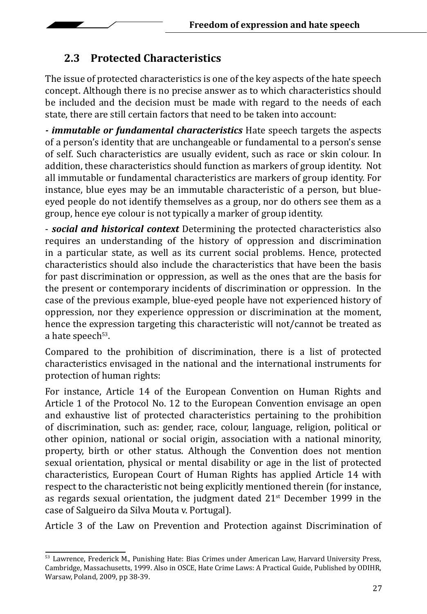### **2.3 Protected Characteristics**

The issue of protected characteristics is one of the key aspects of the hate speech concept. Although there is no precise answer as to which characteristics should be included and the decision must be made with regard to the needs of each state, there are still certain factors that need to be taken into account:

*- immutable or fundamental characteristics* Hate speech targets the aspects of a person's identity that are unchangeable or fundamental to a person's sense of self. Such characteristics are usually evident, such as race or skin colour. In addition, these characteristics should function as markers of group identity. Not all immutable or fundamental characteristics are markers of group identity. For instance, blue eyes may be an immutable characteristic of a person, but blueeyed people do not identify themselves as a group, nor do others see them as a group, hence eye colour is not typically a marker of group identity.

- *social and historical context* Determining the protected characteristics also requires an understanding of the history of oppression and discrimination in a particular state, as well as its current social problems. Hence, protected characteristics should also include the characteristics that have been the basis for past discrimination or oppression, as well as the ones that are the basis for the present or contemporary incidents of discrimination or oppression. In the case of the previous example, blue-eyed people have not experienced history of oppression, nor they experience oppression or discrimination at the moment, hence the expression targeting this characteristic will not/cannot be treated as a hate speech<sup>53</sup>.

Compared to the prohibition of discrimination, there is a list of protected characteristics envisaged in the national and the international instruments for protection of human rights:

For instance, Article 14 of the European Convention on Human Rights and Article 1 of the Protocol No. 12 to the European Convention envisage an open and exhaustive list of protected characteristics pertaining to the prohibition of discrimination, such as: gender, race, colour, language, religion, political or other opinion, national or social origin, association with a national minority, property, birth or other status. Although the Convention does not mention sexual orientation, physical or mental disability or age in the list of protected characteristics, European Court of Human Rights has applied Article 14 with respect to the characteristic not being explicitly mentioned therein (for instance, as regards sexual orientation, the judgment dated  $21<sup>st</sup>$  December 1999 in the case of Salgueiro da Silva Mouta v. Portugal).

Article 3 of the Law on Prevention and Protection against Discrimination of

<sup>53</sup> Lawrence, Frederick M., Punishing Hate: Bias Crimes under American Law, Harvard University Press, Cambridge, Massachusetts, 1999. Also in OSCE, Hate Crime Laws: A Practical Guide, Published by ODIHR, Warsaw, Poland, 2009, pp 38-39.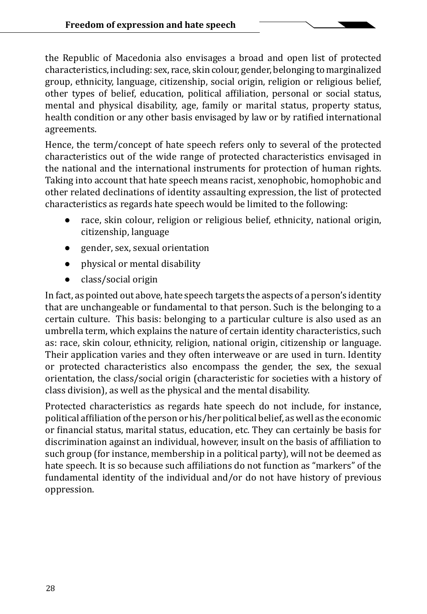the Republic of Macedonia also envisages a broad and open list of protected characteristics, including: sex, race, skin colour, gender, belonging to marginalized group, ethnicity, language, citizenship, social origin, religion or religious belief, other types of belief, education, political affiliation, personal or social status, mental and physical disability, age, family or marital status, property status, health condition or any other basis envisaged by law or by ratified international agreements.

Hence, the term/concept of hate speech refers only to several of the protected characteristics out of the wide range of protected characteristics envisaged in the national and the international instruments for protection of human rights. Taking into account that hate speech means racist, xenophobic, homophobic and other related declinations of identity assaulting expression, the list of protected characteristics as regards hate speech would be limited to the following:

- race, skin colour, religion or religious belief, ethnicity, national origin, citizenship, language
- gender, sex, sexual orientation
- physical or mental disability
- class/social origin

In fact, as pointed out above, hate speech targets the aspects of a person's identity that are unchangeable or fundamental to that person. Such is the belonging to a certain culture. This basis: belonging to a particular culture is also used as an umbrella term, which explains the nature of certain identity characteristics, such as: race, skin colour, ethnicity, religion, national origin, citizenship or language. Their application varies and they often interweave or are used in turn. Identity or protected characteristics also encompass the gender, the sex, the sexual orientation, the class/social origin (characteristic for societies with a history of class division), as well as the physical and the mental disability.

Protected characteristics as regards hate speech do not include, for instance, political affiliation of the person or his/her political belief, as well as the economic or financial status, marital status, education, etc. They can certainly be basis for discrimination against an individual, however, insult on the basis of affiliation to such group (for instance, membership in a political party), will not be deemed as hate speech. It is so because such affiliations do not function as "markers" of the fundamental identity of the individual and/or do not have history of previous oppression.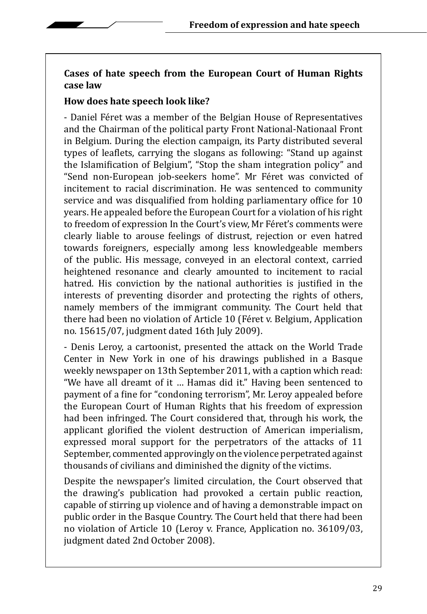#### **Cases of hate speech from the European Court of Human Rights case law**

#### **How does hate speech look like?**

- Daniel Féret was a member of the Belgian House of Representatives and the Chairman of the political party Front National-Nationaal Front in Belgium. During the election campaign, its Party distributed several types of leaflets, carrying the slogans as following: "Stand up against the Islamification of Belgium", "Stop the sham integration policy" and "Send non-European job-seekers home". Mr Féret was convicted of incitement to racial discrimination. He was sentenced to community service and was disqualified from holding parliamentary office for 10 years. He appealed before the European Court for a violation of his right to freedom of expression In the Court's view, Mr Féret's comments were clearly liable to arouse feelings of distrust, rejection or even hatred towards foreigners, especially among less knowledgeable members of the public. His message, conveyed in an electoral context, carried heightened resonance and clearly amounted to incitement to racial hatred. His conviction by the national authorities is justified in the interests of preventing disorder and protecting the rights of others, namely members of the immigrant community. The Court held that there had been no violation of Article 10 (Féret v. Belgium, Application no. 15615/07, judgment dated 16th July 2009).

- Denis Leroy, a cartoonist, presented the attack on the World Trade Center in New York in one of his drawings published in a Basque weekly newspaper on 13th September 2011, with a caption which read: "We have all dreamt of it … Hamas did it." Having been sentenced to payment of a fine for "condoning terrorism", Mr. Leroy appealed before the European Court of Human Rights that his freedom of expression had been infringed. The Court considered that, through his work, the applicant glorified the violent destruction of American imperialism, expressed moral support for the perpetrators of the attacks of 11 September, commented approvingly on the violence perpetrated against thousands of civilians and diminished the dignity of the victims.

Despite the newspaper's limited circulation, the Court observed that the drawing's publication had provoked a certain public reaction, capable of stirring up violence and of having a demonstrable impact on public order in the Basque Country. The Court held that there had been no violation of Article 10 (Leroy v. France, Application no. 36109/03, judgment dated 2nd October 2008).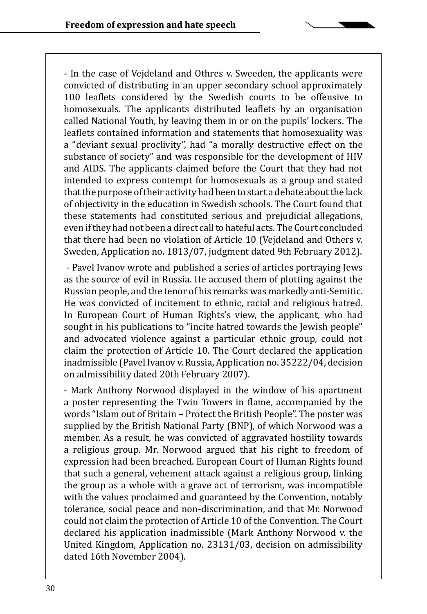- In the case of Vejdeland and Othres v. Sweeden, the applicants were convicted of distributing in an upper secondary school approximately 100 leaflets considered by the Swedish courts to be offensive to homosexuals. The applicants distributed leaflets by an organisation called National Youth, by leaving them in or on the pupils' lockers. The leaflets contained information and statements that homosexuality was a "deviant sexual proclivity", had "a morally destructive effect on the substance of society" and was responsible for the development of HIV and AIDS. The applicants claimed before the Court that they had not intended to express contempt for homosexuals as a group and stated that the purpose of their activity had been to start a debate about the lack of objectivity in the education in Swedish schools. The Court found that these statements had constituted serious and prejudicial allegations, even if they had not been a direct call to hateful acts. The Court concluded that there had been no violation of Article 10 (Vejdeland and Others v. Sweden, Application no. 1813/07, judgment dated 9th February 2012).

 - Pavel Ivanov wrote and published a series of articles portraying Jews as the source of evil in Russia. He accused them of plotting against the Russian people, and the tenor of his remarks was markedly anti-Semitic. He was convicted of incitement to ethnic, racial and religious hatred. In European Court of Human Rights's view, the applicant, who had sought in his publications to "incite hatred towards the Jewish people" and advocated violence against a particular ethnic group, could not claim the protection of Article 10. The Court declared the application inadmissible (Pavel Ivanov v. Russia, Application no. 35222/04, decision on admissibility dated 20th February 2007).

- Mark Anthony Norwood displayed in the window of his apartment a poster representing the Twin Towers in flame, accompanied by the words "Islam out of Britain – Protect the British People". The poster was supplied by the British National Party (BNP), of which Norwood was a member. As a result, he was convicted of aggravated hostility towards a religious group. Mr. Norwood argued that his right to freedom of expression had been breached. European Court of Human Rights found that such a general, vehement attack against a religious group, linking the group as a whole with a grave act of terrorism, was incompatible with the values proclaimed and guaranteed by the Convention, notably tolerance, social peace and non-discrimination, and that Mr. Norwood could not claim the protection of Article 10 of the Convention. The Court declared his application inadmissible (Mark Anthony Norwood v. the United Kingdom, Application no. 23131/03, decision on admissibility dated 16th November 2004).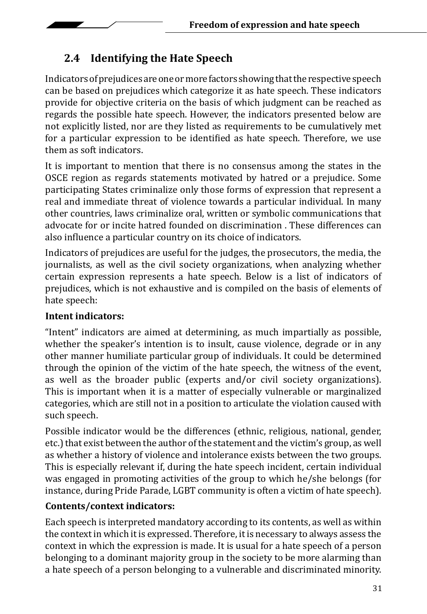# **2.4 Identifying the Hate Speech**

Indicators of prejudices are one or more factors showing that the respective speech can be based on prejudices which categorize it as hate speech. These indicators provide for objective criteria on the basis of which judgment can be reached as regards the possible hate speech. However, the indicators presented below are not explicitly listed, nor are they listed as requirements to be cumulatively met for a particular expression to be identified as hate speech. Therefore, we use them as soft indicators.

It is important to mention that there is no consensus among the states in the OSCE region as regards statements motivated by hatred or a prejudice. Some participating States criminalize only those forms of expression that represent a real and immediate threat of violence towards a particular individual. In many other countries, laws criminalize oral, written or symbolic communications that advocate for or incite hatred founded on discrimination . These differences can also influence a particular country on its choice of indicators.

Indicators of prejudices are useful for the judges, the prosecutors, the media, the journalists, as well as the civil society organizations, when analyzing whether certain expression represents a hate speech. Below is a list of indicators of prejudices, which is not exhaustive and is compiled on the basis of elements of hate speech:

#### **Intent indicators:**

"Intent" indicators are aimed at determining, as much impartially as possible, whether the speaker's intention is to insult, cause violence, degrade or in any other manner humiliate particular group of individuals. It could be determined through the opinion of the victim of the hate speech, the witness of the event, as well as the broader public (experts and/or civil society organizations). This is important when it is a matter of especially vulnerable or marginalized categories, which are still not in a position to articulate the violation caused with such speech.

Possible indicator would be the differences (ethnic, religious, national, gender, etc.) that exist between the author of the statement and the victim's group, as well as whether a history of violence and intolerance exists between the two groups. This is especially relevant if, during the hate speech incident, certain individual was engaged in promoting activities of the group to which he/she belongs (for instance, during Pride Parade, LGBT community is often a victim of hate speech).

### **Contents/context indicators:**

Each speech is interpreted mandatory according to its contents, as well as within the context in which it is expressed. Therefore, it is necessary to always assess the context in which the expression is made. It is usual for a hate speech of a person belonging to a dominant majority group in the society to be more alarming than a hate speech of a person belonging to a vulnerable and discriminated minority.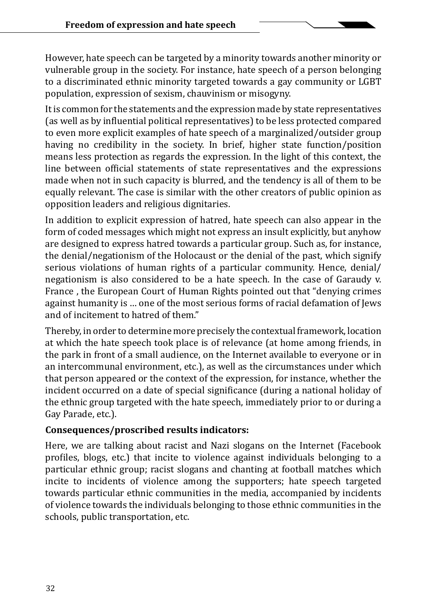However, hate speech can be targeted by a minority towards another minority or vulnerable group in the society. For instance, hate speech of a person belonging to a discriminated ethnic minority targeted towards a gay community or LGBT population, expression of sexism, chauvinism or misogyny.

It is common for the statements and the expression made by state representatives (as well as by influential political representatives) to be less protected compared to even more explicit examples of hate speech of a marginalized/outsider group having no credibility in the society. In brief, higher state function/position means less protection as regards the expression. In the light of this context, the line between official statements of state representatives and the expressions made when not in such capacity is blurred, and the tendency is all of them to be equally relevant. The case is similar with the other creators of public opinion as opposition leaders and religious dignitaries.

In addition to explicit expression of hatred, hate speech can also appear in the form of coded messages which might not express an insult explicitly, but anyhow are designed to express hatred towards a particular group. Such as, for instance, the denial/negationism of the Holocaust or the denial of the past, which signify serious violations of human rights of a particular community. Hence, denial/ negationism is also considered to be a hate speech. In the case of Garaudy v. France , the European Court of Human Rights pointed out that "denying crimes against humanity is … one of the most serious forms of racial defamation of Jews and of incitement to hatred of them."

Thereby, in order to determine more precisely the contextual framework, location at which the hate speech took place is of relevance (at home among friends, in the park in front of a small audience, on the Internet available to everyone or in an intercommunal environment, etc.), as well as the circumstances under which that person appeared or the context of the expression, for instance, whether the incident occurred on a date of special significance (during a national holiday of the ethnic group targeted with the hate speech, immediately prior to or during a Gay Parade, etc.).

#### **Consequences/proscribed results indicators:**

Here, we are talking about racist and Nazi slogans on the Internet (Facebook profiles, blogs, etc.) that incite to violence against individuals belonging to a particular ethnic group; racist slogans and chanting at football matches which incite to incidents of violence among the supporters; hate speech targeted towards particular ethnic communities in the media, accompanied by incidents of violence towards the individuals belonging to those ethnic communities in the schools, public transportation, etc.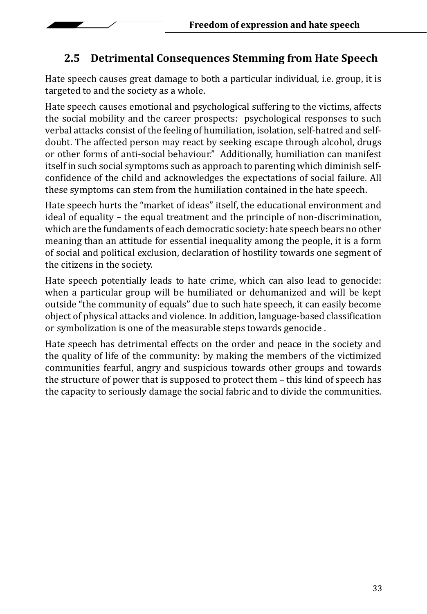

### **2.5 Detrimental Consequences Stemming from Hate Speech**

Hate speech causes great damage to both a particular individual, i.e. group, it is targeted to and the society as a whole.

Hate speech causes emotional and psychological suffering to the victims, affects the social mobility and the career prospects: psychological responses to such verbal attacks consist of the feeling of humiliation, isolation, self-hatred and selfdoubt. The affected person may react by seeking escape through alcohol, drugs or other forms of anti-social behaviour." Additionally, humiliation can manifest itself in such social symptoms such as approach to parenting which diminish selfconfidence of the child and acknowledges the expectations of social failure. All these symptoms can stem from the humiliation contained in the hate speech.

Hate speech hurts the "market of ideas" itself, the educational environment and ideal of equality – the equal treatment and the principle of non-discrimination, which are the fundaments of each democratic society: hate speech bears no other meaning than an attitude for essential inequality among the people, it is a form of social and political exclusion, declaration of hostility towards one segment of the citizens in the society.

Hate speech potentially leads to hate crime, which can also lead to genocide: when a particular group will be humiliated or dehumanized and will be kept outside "the community of equals" due to such hate speech, it can easily become object of physical attacks and violence. In addition, language-based classification or symbolization is one of the measurable steps towards genocide .

Hate speech has detrimental effects on the order and peace in the society and the quality of life of the community: by making the members of the victimized communities fearful, angry and suspicious towards other groups and towards the structure of power that is supposed to protect them – this kind of speech has the capacity to seriously damage the social fabric and to divide the communities.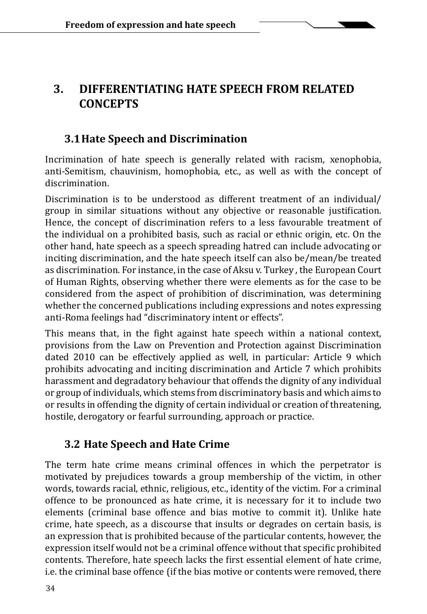### **3. DIFFERENTIATING HATE SPEECH FROM RELATED CONCEPTS**

#### **3.1Hate Speech and Discrimination**

Incrimination of hate speech is generally related with racism, xenophobia, anti-Semitism, chauvinism, homophobia, etc., as well as with the concept of discrimination.

Discrimination is to be understood as different treatment of an individual/ group in similar situations without any objective or reasonable justification. Hence, the concept of discrimination refers to a less favourable treatment of the individual on a prohibited basis, such as racial or ethnic origin, etc. On the other hand, hate speech as a speech spreading hatred can include advocating or inciting discrimination, and the hate speech itself can also be/mean/be treated as discrimination. For instance, in the case of Aksu v. Turkey , the European Court of Human Rights, observing whether there were elements as for the case to be considered from the aspect of prohibition of discrimination, was determining whether the concerned publications including expressions and notes expressing anti-Roma feelings had "discriminatory intent or effects".

This means that, in the fight against hate speech within a national context, provisions from the Law on Prevention and Protection against Discrimination dated 2010 can be effectively applied as well, in particular: Article 9 which prohibits advocating and inciting discrimination and Article 7 which prohibits harassment and degradatory behaviour that offends the dignity of any individual or group of individuals, which stems from discriminatory basis and which aims to or results in offending the dignity of certain individual or creation of threatening, hostile, derogatory or fearful surrounding, approach or practice.

### **3.2 Hate Speech and Hate Crime**

The term hate crime means criminal offences in which the perpetrator is motivated by prejudices towards a group membership of the victim, in other words, towards racial, ethnic, religious, etc., identity of the victim. For a criminal offence to be pronounced as hate crime, it is necessary for it to include two elements (criminal base offence and bias motive to commit it). Unlike hate crime, hate speech, as a discourse that insults or degrades on certain basis, is an expression that is prohibited because of the particular contents, however, the expression itself would not be a criminal offence without that specific prohibited contents. Therefore, hate speech lacks the first essential element of hate crime, i.e. the criminal base offence (if the bias motive or contents were removed, there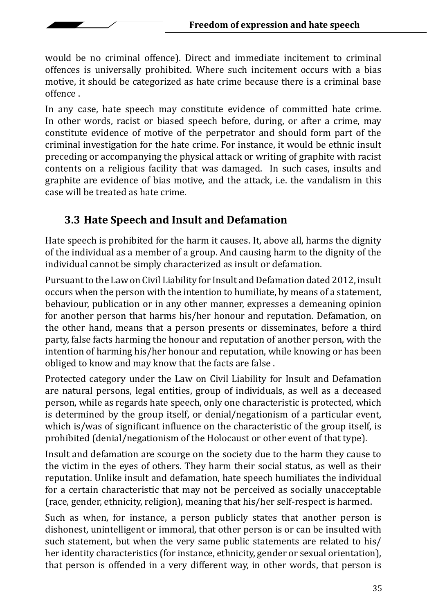would be no criminal offence). Direct and immediate incitement to criminal offences is universally prohibited. Where such incitement occurs with a bias motive, it should be categorized as hate crime because there is a criminal base offence .

In any case, hate speech may constitute evidence of committed hate crime. In other words, racist or biased speech before, during, or after a crime, may constitute evidence of motive of the perpetrator and should form part of the criminal investigation for the hate crime. For instance, it would be ethnic insult preceding or accompanying the physical attack or writing of graphite with racist contents on a religious facility that was damaged. In such cases, insults and graphite are evidence of bias motive, and the attack, i.e. the vandalism in this case will be treated as hate crime.

### **3.3 Hate Speech and Insult and Defamation**

Hate speech is prohibited for the harm it causes. It, above all, harms the dignity of the individual as a member of a group. And causing harm to the dignity of the individual cannot be simply characterized as insult or defamation.

Pursuant to the Law on Civil Liability for Insult and Defamation dated 2012, insult occurs when the person with the intention to humiliate, by means of a statement, behaviour, publication or in any other manner, expresses a demeaning opinion for another person that harms his/her honour and reputation. Defamation, on the other hand, means that a person presents or disseminates, before a third party, false facts harming the honour and reputation of another person, with the intention of harming his/her honour and reputation, while knowing or has been obliged to know and may know that the facts are false .

Protected category under the Law on Civil Liability for Insult and Defamation are natural persons, legal entities, group of individuals, as well as a deceased person, while as regards hate speech, only one characteristic is protected, which is determined by the group itself, or denial/negationism of a particular event, which is/was of significant influence on the characteristic of the group itself, is prohibited (denial/negationism of the Holocaust or other event of that type).

Insult and defamation are scourge on the society due to the harm they cause to the victim in the eyes of others. They harm their social status, as well as their reputation. Unlike insult and defamation, hate speech humiliates the individual for a certain characteristic that may not be perceived as socially unacceptable (race, gender, ethnicity, religion), meaning that his/her self-respect is harmed.

Such as when, for instance, a person publicly states that another person is dishonest, unintelligent or immoral, that other person is or can be insulted with such statement, but when the very same public statements are related to his/ her identity characteristics (for instance, ethnicity, gender or sexual orientation), that person is offended in a very different way, in other words, that person is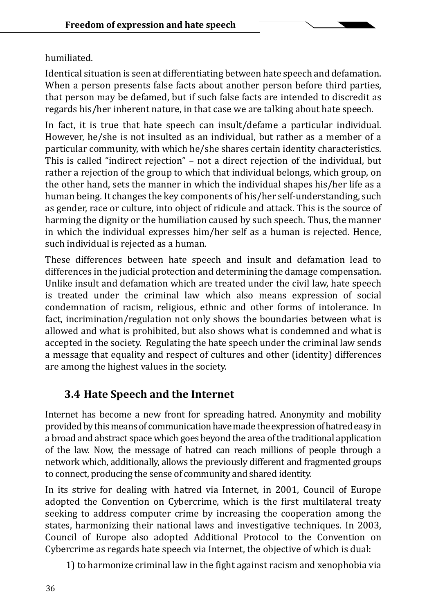#### humiliated.

Identical situation is seen at differentiating between hate speech and defamation. When a person presents false facts about another person before third parties, that person may be defamed, but if such false facts are intended to discredit as regards his/her inherent nature, in that case we are talking about hate speech.

In fact, it is true that hate speech can insult/defame a particular individual. However, he/she is not insulted as an individual, but rather as a member of a particular community, with which he/she shares certain identity characteristics. This is called "indirect rejection" – not a direct rejection of the individual, but rather a rejection of the group to which that individual belongs, which group, on the other hand, sets the manner in which the individual shapes his/her life as a human being. It changes the key components of his/her self-understanding, such as gender, race or culture, into object of ridicule and attack. This is the source of harming the dignity or the humiliation caused by such speech. Thus, the manner in which the individual expresses him/her self as a human is rejected. Hence, such individual is rejected as a human.

These differences between hate speech and insult and defamation lead to differences in the judicial protection and determining the damage compensation. Unlike insult and defamation which are treated under the civil law, hate speech is treated under the criminal law which also means expression of social condemnation of racism, religious, ethnic and other forms of intolerance. In fact, incrimination/regulation not only shows the boundaries between what is allowed and what is prohibited, but also shows what is condemned and what is accepted in the society. Regulating the hate speech under the criminal law sends a message that equality and respect of cultures and other (identity) differences are among the highest values in the society.

## **3.4 Hate Speech and the Internet**

Internet has become a new front for spreading hatred. Anonymity and mobility provided by this means of communication have made the expression of hatred easy in a broad and abstract space which goes beyond the area of the traditional application of the law. Now, the message of hatred can reach millions of people through a network which, additionally, allows the previously different and fragmented groups to connect, producing the sense of community and shared identity.

In its strive for dealing with hatred via Internet, in 2001, Council of Europe adopted the Convention on Cybercrime, which is the first multilateral treaty seeking to address computer crime by increasing the cooperation among the states, harmonizing their national laws and investigative techniques. In 2003, Council of Europe also adopted Additional Protocol to the Convention on Cybercrime as regards hate speech via Internet, the objective of which is dual:

1) to harmonize criminal law in the fight against racism and xenophobia via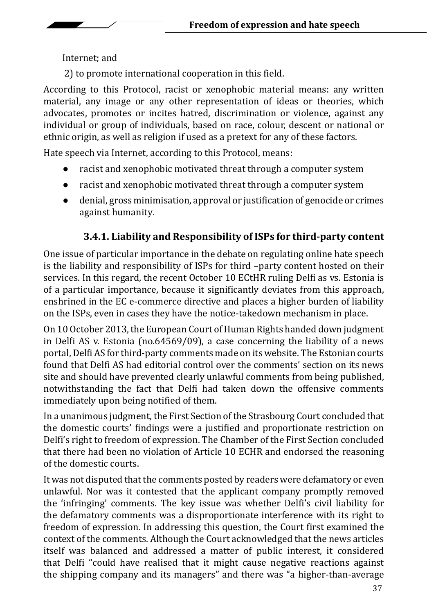Internet; and

2) to promote international cooperation in this field.

According to this Protocol, racist or xenophobic material means: any written material, any image or any other representation of ideas or theories, which advocates, promotes or incites hatred, discrimination or violence, against any individual or group of individuals, based on race, colour, descent or national or ethnic origin, as well as religion if used as a pretext for any of these factors.

Hate speech via Internet, according to this Protocol, means:

- racist and xenophobic motivated threat through a computer system
- racist and xenophobic motivated threat through a computer system
- denial, gross minimisation, approval or justification of genocide or crimes against humanity.

### **3.4.1. Liability and Responsibility of ISPs for third-party content**

One issue of particular importance in the debate on regulating online hate speech is the liability and responsibility of ISPs for third –party content hosted on their services. In this regard, the recent October 10 ECtHR ruling Delfi as vs. Estonia is of a particular importance, because it significantly deviates from this approach, enshrined in the EC e-commerce directive and places a higher burden of liability on the ISPs, even in cases they have the notice-takedown mechanism in place.

On 10 October 2013, the European Court of Human Rights handed down judgment in Delfi AS v. Estonia (no.64569/09), a case concerning the liability of a news portal, Delfi AS for third-party comments made on its website. The Estonian courts found that Delfi AS had editorial control over the comments' section on its news site and should have prevented clearly unlawful comments from being published, notwithstanding the fact that Delfi had taken down the offensive comments immediately upon being notified of them.

In a unanimous judgment, the First Section of the Strasbourg Court concluded that the domestic courts' findings were a justified and proportionate restriction on Delfi's right to freedom of expression. The Chamber of the First Section concluded that there had been no violation of Article 10 ECHR and endorsed the reasoning of the domestic courts.

It was not disputed that the comments posted by readers were defamatory or even unlawful. Nor was it contested that the applicant company promptly removed the 'infringing' comments. The key issue was whether Delfi's civil liability for the defamatory comments was a disproportionate interference with its right to freedom of expression. In addressing this question, the Court first examined the context of the comments. Although the Court acknowledged that the news articles itself was balanced and addressed a matter of public interest, it considered that Delfi "could have realised that it might cause negative reactions against the shipping company and its managers" and there was "a higher-than-average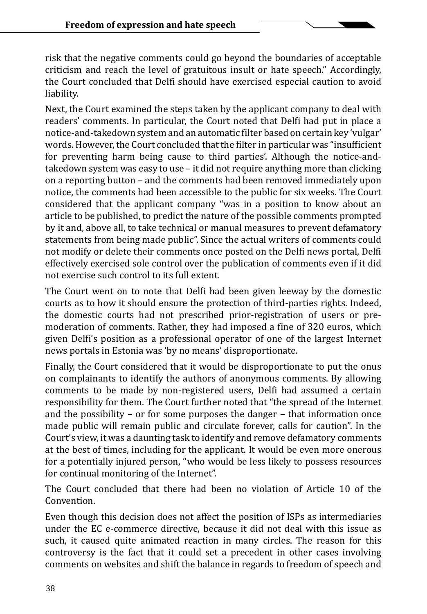risk that the negative comments could go beyond the boundaries of acceptable criticism and reach the level of gratuitous insult or hate speech." Accordingly, the Court concluded that Delfi should have exercised especial caution to avoid liability.

Next, the Court examined the steps taken by the applicant company to deal with readers' comments. In particular, the Court noted that Delfi had put in place a notice-and-takedown system and an automatic filter based on certain key 'vulgar' words. However, the Court concluded that the filter in particular was "insufficient for preventing harm being cause to third parties'. Although the notice-andtakedown system was easy to use – it did not require anything more than clicking on a reporting button – and the comments had been removed immediately upon notice, the comments had been accessible to the public for six weeks. The Court considered that the applicant company "was in a position to know about an article to be published, to predict the nature of the possible comments prompted by it and, above all, to take technical or manual measures to prevent defamatory statements from being made public". Since the actual writers of comments could not modify or delete their comments once posted on the Delfi news portal, Delfi effectively exercised sole control over the publication of comments even if it did not exercise such control to its full extent.

The Court went on to note that Delfi had been given leeway by the domestic courts as to how it should ensure the protection of third-parties rights. Indeed, the domestic courts had not prescribed prior-registration of users or premoderation of comments. Rather, they had imposed a fine of 320 euros, which given Delfi's position as a professional operator of one of the largest Internet news portals in Estonia was 'by no means' disproportionate.

Finally, the Court considered that it would be disproportionate to put the onus on complainants to identify the authors of anonymous comments. By allowing comments to be made by non-registered users, Delfi had assumed a certain responsibility for them. The Court further noted that "the spread of the Internet and the possibility – or for some purposes the danger – that information once made public will remain public and circulate forever, calls for caution". In the Court's view, it was a daunting task to identify and remove defamatory comments at the best of times, including for the applicant. It would be even more onerous for a potentially injured person, "who would be less likely to possess resources for continual monitoring of the Internet".

The Court concluded that there had been no violation of Article 10 of the Convention.

Even though this decision does not affect the position of ISPs as intermediaries under the EC e-commerce directive, because it did not deal with this issue as such, it caused quite animated reaction in many circles. The reason for this controversy is the fact that it could set a precedent in other cases involving comments on websites and shift the balance in regards to freedom of speech and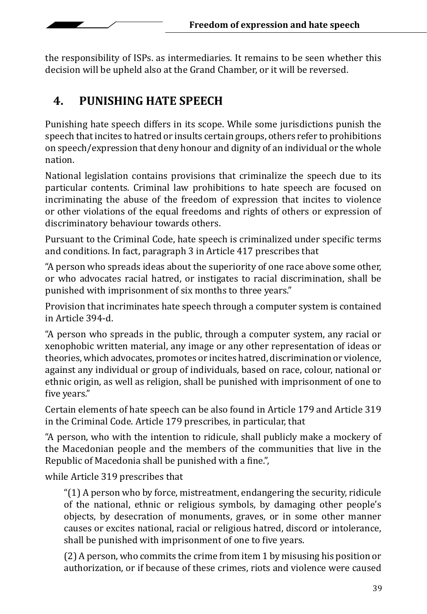the responsibility of ISPs. as intermediaries. It remains to be seen whether this decision will be upheld also at the Grand Chamber, or it will be reversed.

### **4. PUNISHING HATE SPEECH**

Punishing hate speech differs in its scope. While some jurisdictions punish the speech that incites to hatred or insults certain groups, others refer to prohibitions on speech/expression that deny honour and dignity of an individual or the whole nation.

National legislation contains provisions that criminalize the speech due to its particular contents. Criminal law prohibitions to hate speech are focused on incriminating the abuse of the freedom of expression that incites to violence or other violations of the equal freedoms and rights of others or expression of discriminatory behaviour towards others.

Pursuant to the Criminal Code, hate speech is criminalized under specific terms and conditions. In fact, paragraph 3 in Article 417 prescribes that

"A person who spreads ideas about the superiority of one race above some other, or who advocates racial hatred, or instigates to racial discrimination, shall be punished with imprisonment of six months to three years."

Provision that incriminates hate speech through a computer system is contained in Article 394-d.

"A person who spreads in the public, through a computer system, any racial or xenophobic written material, any image or any other representation of ideas or theories, which advocates, promotes or incites hatred, discrimination or violence, against any individual or group of individuals, based on race, colour, national or ethnic origin, as well as religion, shall be punished with imprisonment of one to five years."

Certain elements of hate speech can be also found in Article 179 and Article 319 in the Criminal Code. Article 179 prescribes, in particular, that

"A person, who with the intention to ridicule, shall publicly make a mockery of the Macedonian people and the members of the communities that live in the Republic of Macedonia shall be punished with a fine.",

while Article 319 prescribes that

"(1) A person who by force, mistreatment, endangering the security, ridicule of the national, ethnic or religious symbols, by damaging other people's objects, by desecration of monuments, graves, or in some other manner causes or excites national, racial or religious hatred, discord or intolerance, shall be punished with imprisonment of one to five years.

(2) A person, who commits the crime from item 1 by misusing his position or authorization, or if because of these crimes, riots and violence were caused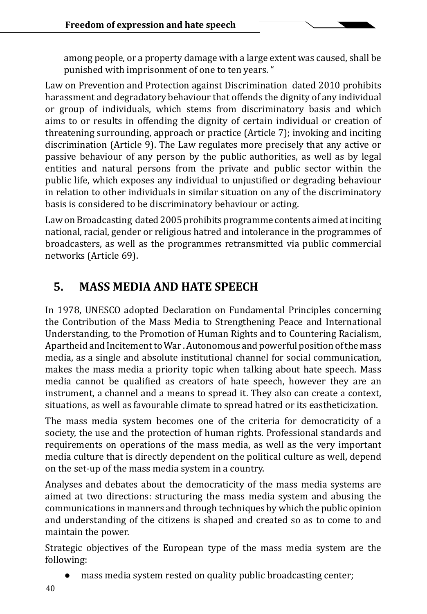among people, or a property damage with a large extent was caused, shall be punished with imprisonment of one to ten years. "

Law on Prevention and Protection against Discrimination dated 2010 prohibits harassment and degradatory behaviour that offends the dignity of any individual or group of individuals, which stems from discriminatory basis and which aims to or results in offending the dignity of certain individual or creation of threatening surrounding, approach or practice (Article 7); invoking and inciting discrimination (Article 9). The Law regulates more precisely that any active or passive behaviour of any person by the public authorities, as well as by legal entities and natural persons from the private and public sector within the public life, which exposes any individual to unjustified or degrading behaviour in relation to other individuals in similar situation on any of the discriminatory basis is considered to be discriminatory behaviour or acting.

Law on Broadcasting dated 2005 prohibits programme contents aimed at inciting national, racial, gender or religious hatred and intolerance in the programmes of broadcasters, as well as the programmes retransmitted via public commercial networks (Article 69).

# **5. MASS MEDIA AND HATE SPEECH**

In 1978, UNESCO adopted Declaration on Fundamental Principles concerning the Contribution of the Mass Media to Strengthening Peace and International Understanding, to the Promotion of Human Rights and to Countering Racialism, Apartheid and Incitement to War . Autonomous and powerful position of the mass media, as a single and absolute institutional channel for social communication, makes the mass media a priority topic when talking about hate speech. Mass media cannot be qualified as creators of hate speech, however they are an instrument, a channel and a means to spread it. They also can create a context, situations, as well as favourable climate to spread hatred or its eastheticization.

The mass media system becomes one of the criteria for democraticity of a society, the use and the protection of human rights. Professional standards and requirements on operations of the mass media, as well as the very important media culture that is directly dependent on the political culture as well, depend on the set-up of the mass media system in a country.

Analyses and debates about the democraticity of the mass media systems are aimed at two directions: structuring the mass media system and abusing the communications in manners and through techniques by which the public opinion and understanding of the citizens is shaped and created so as to come to and maintain the power.

Strategic objectives of the European type of the mass media system are the following:

mass media system rested on quality public broadcasting center;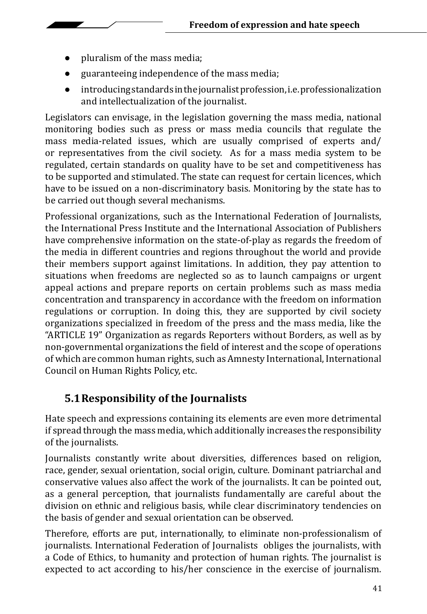- pluralism of the mass media;
- guaranteeing independence of the mass media;
- introducing standards in the journalist profession, i.e. professionalization and intellectualization of the journalist.

Legislators can envisage, in the legislation governing the mass media, national monitoring bodies such as press or mass media councils that regulate the mass media-related issues, which are usually comprised of experts and/ or representatives from the civil society. As for a mass media system to be regulated, certain standards on quality have to be set and competitiveness has to be supported and stimulated. The state can request for certain licences, which have to be issued on a non-discriminatory basis. Monitoring by the state has to be carried out though several mechanisms.

Professional organizations, such as the International Federation of Journalists, the International Press Institute and the International Association of Publishers have comprehensive information on the state-of-play as regards the freedom of the media in different countries and regions throughout the world and provide their members support against limitations. In addition, they pay attention to situations when freedoms are neglected so as to launch campaigns or urgent appeal actions and prepare reports on certain problems such as mass media concentration and transparency in accordance with the freedom on information regulations or corruption. In doing this, they are supported by civil society organizations specialized in freedom of the press and the mass media, like the "ARTICLE 19" Organization as regards Reporters without Borders, as well as by non-governmental organizations the field of interest and the scope of operations of which are common human rights, such as Amnesty International, International Council on Human Rights Policy, etc.

## **5.1Responsibility of the Journalists**

Hate speech and expressions containing its elements are even more detrimental if spread through the mass media, which additionally increases the responsibility of the journalists.

Journalists constantly write about diversities, differences based on religion, race, gender, sexual orientation, social origin, culture. Dominant patriarchal and conservative values also affect the work of the journalists. It can be pointed out, as a general perception, that journalists fundamentally are careful about the division on ethnic and religious basis, while clear discriminatory tendencies on the basis of gender and sexual orientation can be observed.

Therefore, efforts are put, internationally, to eliminate non-professionalism of journalists. International Federation of Journalists obliges the journalists, with a Code of Ethics, to humanity and protection of human rights. The journalist is expected to act according to his/her conscience in the exercise of journalism.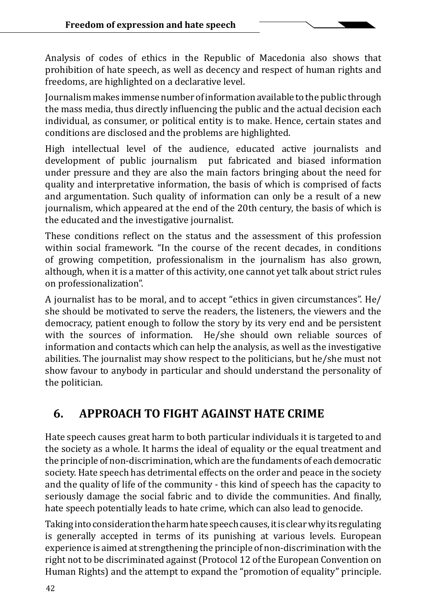Analysis of codes of ethics in the Republic of Macedonia also shows that prohibition of hate speech, as well as decency and respect of human rights and freedoms, are highlighted on a declarative level.

Journalism makes immense number of information available to the public through the mass media, thus directly influencing the public and the actual decision each individual, as consumer, or political entity is to make. Hence, certain states and conditions are disclosed and the problems are highlighted.

High intellectual level of the audience, educated active journalists and development of public journalism put fabricated and biased information put fabricated and biased information under pressure and they are also the main factors bringing about the need for quality and interpretative information, the basis of which is comprised of facts and argumentation. Such quality of information can only be a result of a new journalism, which appeared at the end of the 20th century, the basis of which is the educated and the investigative journalist.

These conditions reflect on the status and the assessment of this profession within social framework. "In the course of the recent decades, in conditions of growing competition, professionalism in the journalism has also grown, although, when it is a matter of this activity, one cannot yet talk about strict rules on professionalization".

A journalist has to be moral, and to accept "ethics in given circumstances". He/ she should be motivated to serve the readers, the listeners, the viewers and the democracy, patient enough to follow the story by its very end and be persistent with the sources of information. He/she should own reliable sources of information and contacts which can help the analysis, as well as the investigative abilities. The journalist may show respect to the politicians, but he/she must not show favour to anybody in particular and should understand the personality of the politician.

# **6. APPROACH TO FIGHT AGAINST HATE CRIME**

Hate speech causes great harm to both particular individuals it is targeted to and the society as a whole. It harms the ideal of equality or the equal treatment and the principle of non-discrimination, which are the fundaments of each democratic society. Hate speech has detrimental effects on the order and peace in the society and the quality of life of the community - this kind of speech has the capacity to seriously damage the social fabric and to divide the communities. And finally, hate speech potentially leads to hate crime, which can also lead to genocide.

Taking into consideration the harm hate speech causes, it is clear why its regulating is generally accepted in terms of its punishing at various levels. European experience is aimed at strengthening the principle of non-discrimination with the right not to be discriminated against (Protocol 12 of the European Convention on Human Rights) and the attempt to expand the "promotion of equality" principle.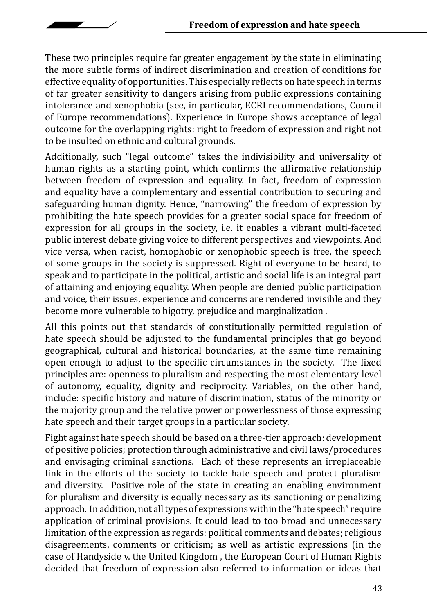These two principles require far greater engagement by the state in eliminating the more subtle forms of indirect discrimination and creation of conditions for effective equality of opportunities. This especially reflects on hate speech in terms of far greater sensitivity to dangers arising from public expressions containing intolerance and xenophobia (see, in particular, ECRI recommendations, Council of Europe recommendations). Experience in Europe shows acceptance of legal outcome for the overlapping rights: right to freedom of expression and right not to be insulted on ethnic and cultural grounds.

Additionally, such "legal outcome" takes the indivisibility and universality of human rights as a starting point, which confirms the affirmative relationship between freedom of expression and equality. In fact, freedom of expression and equality have a complementary and essential contribution to securing and safeguarding human dignity. Hence, "narrowing" the freedom of expression by prohibiting the hate speech provides for a greater social space for freedom of expression for all groups in the society, i.e. it enables a vibrant multi-faceted public interest debate giving voice to different perspectives and viewpoints. And vice versa, when racist, homophobic or xenophobic speech is free, the speech of some groups in the society is suppressed. Right of everyone to be heard, to speak and to participate in the political, artistic and social life is an integral part of attaining and enjoying equality. When people are denied public participation and voice, their issues, experience and concerns are rendered invisible and they become more vulnerable to bigotry, prejudice and marginalization .

All this points out that standards of constitutionally permitted regulation of hate speech should be adjusted to the fundamental principles that go beyond geographical, cultural and historical boundaries, at the same time remaining open enough to adjust to the specific circumstances in the society. The fixed principles are: openness to pluralism and respecting the most elementary level of autonomy, equality, dignity and reciprocity. Variables, on the other hand, include: specific history and nature of discrimination, status of the minority or the majority group and the relative power or powerlessness of those expressing hate speech and their target groups in a particular society.

Fight against hate speech should be based on a three-tier approach: development of positive policies; protection through administrative and civil laws/procedures and envisaging criminal sanctions. Each of these represents an irreplaceable link in the efforts of the society to tackle hate speech and protect pluralism and diversity. Positive role of the state in creating an enabling environment for pluralism and diversity is equally necessary as its sanctioning or penalizing approach. In addition, not all types of expressions within the "hate speech" require application of criminal provisions. It could lead to too broad and unnecessary limitation of the expression as regards: political comments and debates; religious disagreements, comments or criticism; as well as artistic expressions (in the case of Handyside v. the United Kingdom , the European Court of Human Rights decided that freedom of expression also referred to information or ideas that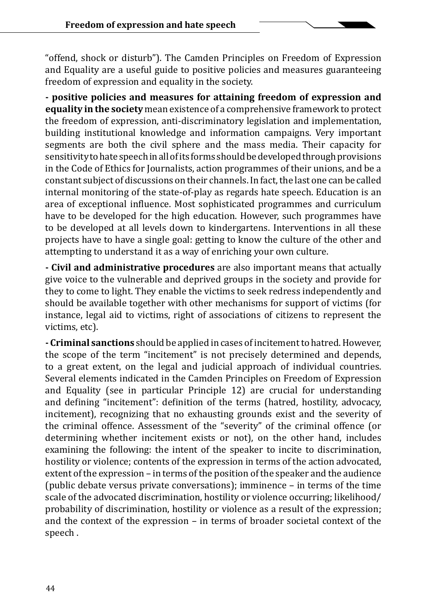"offend, shock or disturb"). The Camden Principles on Freedom of Expression and Equality are a useful guide to positive policies and measures guaranteeing freedom of expression and equality in the society.

**- positive policies and measures for attaining freedom of expression and equality in the society** mean existence of a comprehensive framework to protect the freedom of expression, anti-discriminatory legislation and implementation, building institutional knowledge and information campaigns. Very important segments are both the civil sphere and the mass media. Their capacity for sensitivity to hate speech in all of its forms should be developed through provisions in the Code of Ethics for Journalists, action programmes of their unions, and be a constant subject of discussions on their channels. In fact, the last one can be called internal monitoring of the state-of-play as regards hate speech. Education is an area of exceptional influence. Most sophisticated programmes and curriculum have to be developed for the high education. However, such programmes have to be developed at all levels down to kindergartens. Interventions in all these projects have to have a single goal: getting to know the culture of the other and attempting to understand it as a way of enriching your own culture.

**- Civil and administrative procedures** are also important means that actually give voice to the vulnerable and deprived groups in the society and provide for they to come to light. They enable the victims to seek redress independently and should be available together with other mechanisms for support of victims (for instance, legal aid to victims, right of associations of citizens to represent the victims, etc).

**- Criminal sanctions** should be applied in cases of incitement to hatred. However, the scope of the term "incitement" is not precisely determined and depends, to a great extent, on the legal and judicial approach of individual countries. Several elements indicated in the Camden Principles on Freedom of Expression and Equality (see in particular Principle 12) are crucial for understanding and defining "incitement": definition of the terms (hatred, hostility, advocacy, incitement), recognizing that no exhausting grounds exist and the severity of the criminal offence. Assessment of the "severity" of the criminal offence (or determining whether incitement exists or not), on the other hand, includes examining the following: the intent of the speaker to incite to discrimination, hostility or violence; contents of the expression in terms of the action advocated, extent of the expression – in terms of the position of the speaker and the audience (public debate versus private conversations); imminence – in terms of the time scale of the advocated discrimination, hostility or violence occurring; likelihood/ probability of discrimination, hostility or violence as a result of the expression; and the context of the expression – in terms of broader societal context of the speech .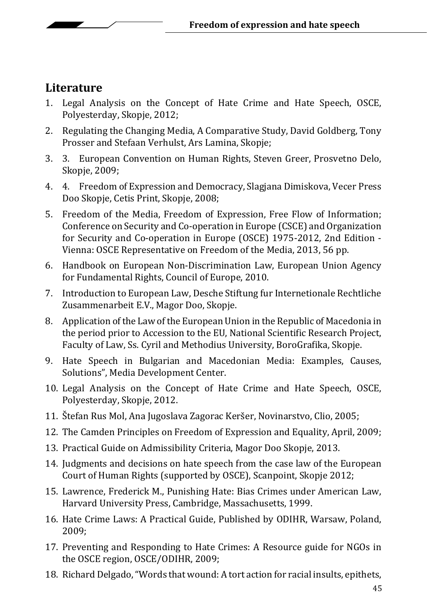## **Literature**

- 1. Legal Analysis on the Concept of Hate Crime and Hate Speech, OSCE, Polyesterday, Skopje, 2012;
- 2. Regulating the Changing Media, A Comparative Study, David Goldberg, Tony Prosser and Stefaan Verhulst, Ars Lamina, Skopje;
- 3. 3. European Convention on Human Rights, Steven Greer, Prosvetno Delo, Skopje, 2009;
- 4. 4. Freedom of Expression and Democracy, Slagjana Dimiskova, Vecer Press Doo Skopje, Cetis Print, Skopje, 2008;
- 5. Freedom of the Media, Freedom of Expression, Free Flow of Information; Conference on Security and Co-operation in Europe (CSCE) and Organization for Security and Co-operation in Europe (OSCE) 1975-2012, 2nd Edition - Vienna: OSCE Representative on Freedom of the Media, 2013, 56 pp.
- 6. Handbook on European Non-Discrimination Law, European Union Agency for Fundamental Rights, Council of Europe, 2010.
- 7. Introduction to European Law, Desche Stiftung fur Internetionale Rechtliche Zusammenarbeit E.V., Magor Doo, Skopje.
- 8. Application of the Law of the European Union in the Republic of Macedonia in the period prior to Accession to the EU, National Scientific Research Project, Faculty of Law, Ss. Cyril and Methodius University, BoroGrafika, Skopje.
- 9. Hate Speech in Bulgarian and Macedonian Media: Examples, Causes, Solutions", Media Development Center.
- 10. Legal Analysis on the Concept of Hate Crime and Hate Speech, OSCE, Polyesterday, Skopje, 2012.
- 11. Štefan Rus Mol, Ana Jugoslava Zagorac Keršer, Novinarstvo, Clio, 2005;
- 12. The Camden Principles on Freedom of Expression and Equality, April, 2009;
- 13. Practical Guide on Admissibility Criteria, Magor Doo Skopje, 2013.
- 14. Judgments and decisions on hate speech from the case law of the European Court of Human Rights (supported by OSCE), Scanpoint, Skopje 2012;
- 15. Lawrence, Frederick M., Punishing Hate: Bias Crimes under American Law, Harvard University Press, Cambridge, Massachusetts, 1999.
- 16. Hate Crime Laws: A Practical Guide, Published by ODIHR, Warsaw, Poland, 2009;
- 17. Preventing and Responding to Hate Crimes: A Resource guide for NGOs in the OSCE region, OSCE/ODIHR, 2009;
- 18. Richard Delgado, "Words that wound: A tort action for racial insults, epithets,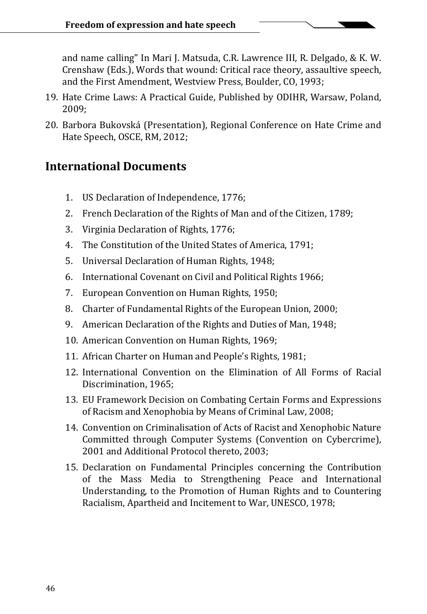and name calling" In Mari J. Matsuda, C.R. Lawrence III, R. Delgado, & K. W. Crenshaw (Eds.), Words that wound: Critical race theory, assaultive speech, and the First Amendment, Westview Press, Boulder, CO, 1993;

- 19. Hate Crime Laws: A Practical Guide, Published by ODIHR, Warsaw, Poland, 2009;
- 20. Barbora Bukovská (Presentation), Regional Conference on Hate Crime and Hate Speech, OSCE, RM, 2012;

### **International Documents**

- 1. US Declaration of Independence, 1776;
- 2. French Declaration of the Rights of Man and of the Citizen, 1789;
- 3. Virginia Declaration of Rights, 1776;
- 4. The Constitution of the United States of America, 1791;
- 5. Universal Declaration of Human Rights, 1948;
- 6. International Covenant on Civil and Political Rights 1966;
- 7. European Convention on Human Rights, 1950;
- 8. Charter of Fundamental Rights of the European Union, 2000;
- 9. American Declaration of the Rights and Duties of Man, 1948;
- 10. American Convention on Human Rights, 1969;
- 11. African Charter on Human and People's Rights, 1981;
- 12. International Convention on the Elimination of All Forms of Racial Discrimination, 1965;
- 13. EU Framework Decision on Combating Certain Forms and Expressions of Racism and Xenophobia by Means of Criminal Law, 2008;
- 14. Convention on Criminalisation of Acts of Racist and Xenophobic Nature Committed through Computer Systems (Convention on Cybercrime), 2001 and Additional Protocol thereto, 2003;
- 15. Declaration on Fundamental Principles concerning the Contribution of the Mass Media to Strengthening Peace and International Understanding, to the Promotion of Human Rights and to Countering Racialism, Apartheid and Incitement to War, UNESCO, 1978;